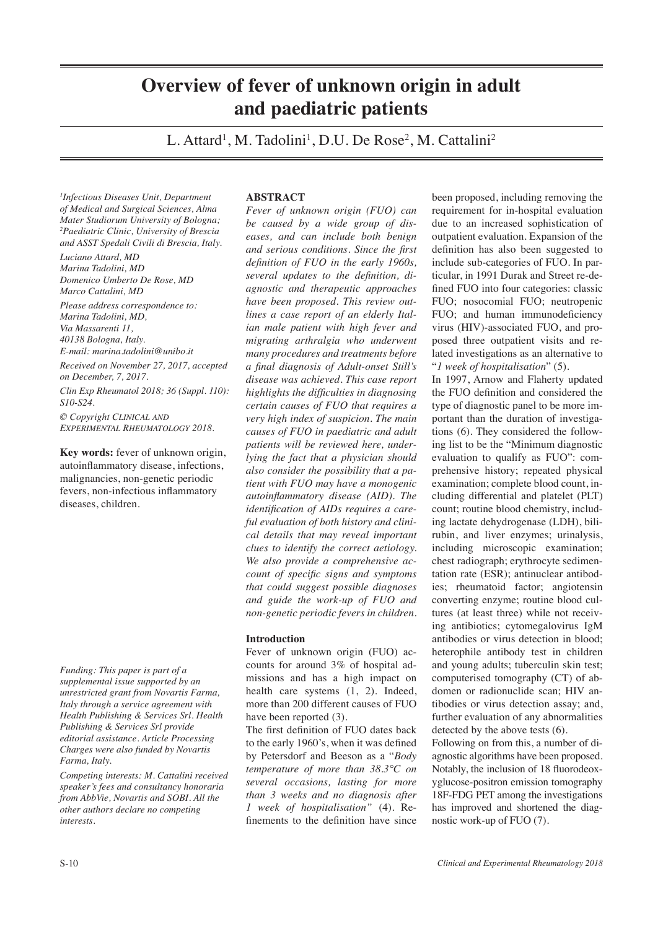# **Overview of fever of unknown origin in adult and paediatric patients**

L. Attard<sup>1</sup>, M. Tadolini<sup>1</sup>, D.U. De Rose<sup>2</sup>, M. Cattalini<sup>2</sup>

*1 Infectious Diseases Unit, Department of Medical and Surgical Sciences, Alma Mater Studiorum University of Bologna; 2 Paediatric Clinic, University of Brescia and ASST Spedali Civili di Brescia, Italy.*

*Luciano Attard, MD Marina Tadolini, MD Domenico Umberto De Rose, MD Marco Cattalini, MD*

*Please address correspondence to: Marina Tadolini, MD, Via Massarenti 11, 40138 Bologna, Italy. E-mail: marina.tadolini@unibo.it*

*Received on November 27, 2017, accepted on December, 7, 2017. Clin Exp Rheumatol 2018; 36 (Suppl. 110): S10-S24. © Copyright Clinical and*

*Experimental Rheumatology 2018.* **Key words:** fever of unknown origin,

autoinflammatory disease, infections, malignancies, non-genetic periodic fevers, non-infectious inflammatory diseases, children.

*Funding: This paper is part of a supplemental issue supported by an unrestricted grant from Novartis Farma, Italy through a service agreement with Health Publishing & Services Srl. Health Publishing & Services Srl provide editorial assistance. Article Processing Charges were also funded by Novartis Farma, Italy.*

*Competing interests: M. Cattalini received speaker's fees and consultancy honoraria from AbbVie, Novartis and SOBI. All the other authors declare no competing interests.*

# **ABSTRACT**

*Fever of unknown origin (FUO) can be caused by a wide group of diseases, and can include both benign and serious conditions. Since the first definition of FUO in the early 1960s, several updates to the definition, diagnostic and therapeutic approaches have been proposed. This review outlines a case report of an elderly Italian male patient with high fever and migrating arthralgia who underwent many procedures and treatments before a final diagnosis of Adult-onset Still's disease was achieved. This case report highlights the difficulties in diagnosing certain causes of FUO that requires a very high index of suspicion. The main causes of FUO in paediatric and adult patients will be reviewed here, underlying the fact that a physician should also consider the possibility that a patient with FUO may have a monogenic autoinflammatory disease (AID). The identification of AIDs requires a careful evaluation of both history and clinical details that may reveal important clues to identify the correct aetiology. We also provide a comprehensive account of specific signs and symptoms that could suggest possible diagnoses and guide the work-up of FUO and non-genetic periodic fevers in children.*

## **Introduction**

Fever of unknown origin (FUO) accounts for around 3% of hospital admissions and has a high impact on health care systems (1, 2). Indeed, more than 200 different causes of FUO have been reported  $(3)$ .

The first definition of FUO dates back to the early 1960's, when it was defined by Petersdorf and Beeson as a "*Body temperature of more than 38.3°C on several occasions, lasting for more than 3 weeks and no diagnosis after 1 week of hospitalisation"* (4). Refinements to the definition have since

been proposed, including removing the requirement for in-hospital evaluation due to an increased sophistication of outpatient evaluation. Expansion of the definition has also been suggested to include sub-categories of FUO. In particular, in 1991 Durak and Street re-defined FUO into four categories: classic FUO; nosocomial FUO; neutropenic FUO; and human immunodeficiency virus (HIV)-associated FUO, and proposed three outpatient visits and related investigations as an alternative to "*1 week of hospitalisation*" (5).

In 1997, Arnow and Flaherty updated the FUO definition and considered the type of diagnostic panel to be more important than the duration of investigations (6). They considered the following list to be the "Minimum diagnostic evaluation to qualify as FUO": comprehensive history; repeated physical examination; complete blood count, including differential and platelet (PLT) count; routine blood chemistry, including lactate dehydrogenase (LDH), bilirubin, and liver enzymes; urinalysis, including microscopic examination; chest radiograph; erythrocyte sedimentation rate (ESR); antinuclear antibodies; rheumatoid factor; angiotensin converting enzyme; routine blood cultures (at least three) while not receiving antibiotics; cytomegalovirus IgM antibodies or virus detection in blood; heterophile antibody test in children and young adults; tuberculin skin test; computerised tomography (CT) of abdomen or radionuclide scan; HIV antibodies or virus detection assay; and, further evaluation of any abnormalities detected by the above tests (6).

Following on from this, a number of diagnostic algorithms have been proposed. Notably, the inclusion of 18 fluorodeoxyglucose-positron emission tomography 18F-FDG PET among the investigations has improved and shortened the diagnostic work-up of FUO (7).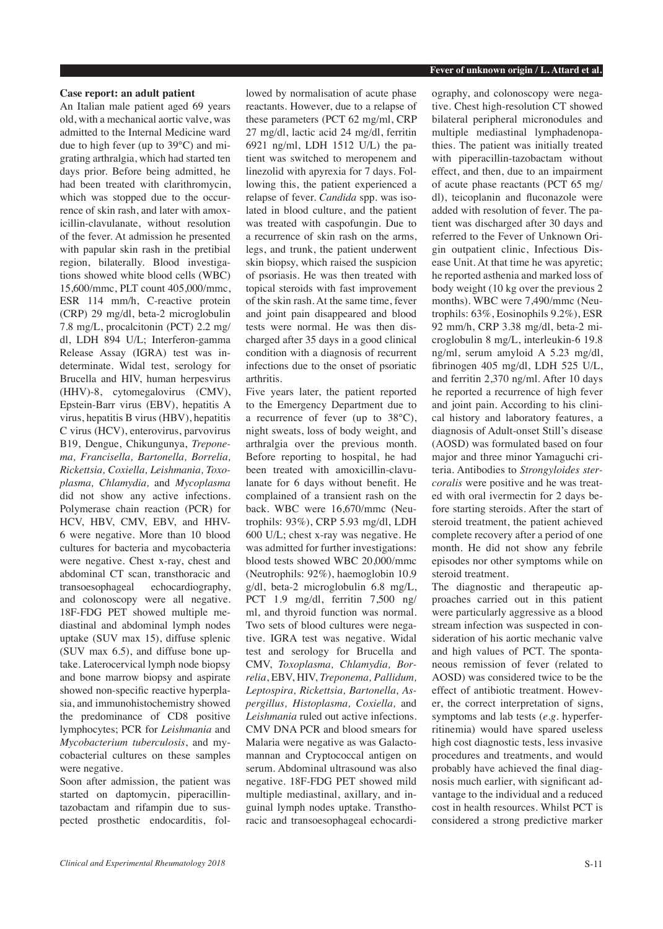# **Case report: an adult patient**

An Italian male patient aged 69 years old, with a mechanical aortic valve, was admitted to the Internal Medicine ward due to high fever (up to 39°C) and migrating arthralgia, which had started ten days prior. Before being admitted, he had been treated with clarithromycin, which was stopped due to the occurrence of skin rash, and later with amoxicillin-clavulanate, without resolution of the fever. At admission he presented with papular skin rash in the pretibial region, bilaterally. Blood investigations showed white blood cells (WBC) 15,600/mmc, PLT count 405,000/mmc, ESR 114 mm/h, C-reactive protein (CRP) 29 mg/dl, beta-2 microglobulin 7.8 mg/L, procalcitonin (PCT) 2.2 mg/ dl, LDH 894 U/L; Interferon-gamma Release Assay (IGRA) test was indeterminate. Widal test, serology for Brucella and HIV, human herpesvirus (HHV)-8, cytomegalovirus (CMV), Epstein-Barr virus (EBV), hepatitis A virus, hepatitis B virus (HBV), hepatitis C virus (HCV), enterovirus, parvovirus B19, Dengue, Chikungunya, *Treponema, Francisella, Bartonella, Borrelia, Rickettsia, Coxiella, Leishmania, Toxoplasma, Chlamydia,* and *Mycoplasma* did not show any active infections. Polymerase chain reaction (PCR) for HCV, HBV, CMV, EBV, and HHV-6 were negative. More than 10 blood cultures for bacteria and mycobacteria were negative. Chest x-ray, chest and abdominal CT scan, transthoracic and transoesophageal echocardiography, and colonoscopy were all negative. 18F-FDG PET showed multiple mediastinal and abdominal lymph nodes uptake (SUV max 15), diffuse splenic (SUV max 6.5), and diffuse bone uptake. Laterocervical lymph node biopsy and bone marrow biopsy and aspirate showed non-specific reactive hyperplasia, and immunohistochemistry showed the predominance of CD8 positive lymphocytes; PCR for *Leishmania* and *Mycobacterium tuberculosis*, and mycobacterial cultures on these samples were negative.

Soon after admission, the patient was started on daptomycin, piperacillintazobactam and rifampin due to suspected prosthetic endocarditis, followed by normalisation of acute phase reactants. However, due to a relapse of these parameters (PCT 62 mg/ml, CRP 27 mg/dl, lactic acid 24 mg/dl, ferritin 6921 ng/ml, LDH 1512 U/L) the patient was switched to meropenem and linezolid with apyrexia for 7 days. Following this, the patient experienced a relapse of fever. *Candida* spp. was isolated in blood culture, and the patient was treated with caspofungin. Due to a recurrence of skin rash on the arms, legs, and trunk, the patient underwent skin biopsy, which raised the suspicion of psoriasis. He was then treated with topical steroids with fast improvement of the skin rash. At the same time, fever and joint pain disappeared and blood tests were normal. He was then discharged after 35 days in a good clinical condition with a diagnosis of recurrent infections due to the onset of psoriatic arthritis.

Five years later, the patient reported to the Emergency Department due to a recurrence of fever (up to 38°C), night sweats, loss of body weight, and arthralgia over the previous month. Before reporting to hospital, he had been treated with amoxicillin-clavulanate for 6 days without benefit. He complained of a transient rash on the back. WBC were 16,670/mmc (Neutrophils: 93%), CRP 5.93 mg/dl, LDH 600 U/L; chest x-ray was negative. He was admitted for further investigations: blood tests showed WBC 20,000/mmc (Neutrophils: 92%), haemoglobin 10.9 g/dl, beta-2 microglobulin 6.8 mg/L, PCT 1.9 mg/dl, ferritin 7,500 ng/ ml, and thyroid function was normal. Two sets of blood cultures were negative. IGRA test was negative. Widal test and serology for Brucella and CMV, *Toxoplasma, Chlamydia, Borrelia*, EBV, HIV, *Treponema, Pallidum, Leptospira, Rickettsia, Bartonella, Aspergillus, Histoplasma, Coxiella,* and *Leishmania* ruled out active infections. CMV DNA PCR and blood smears for Malaria were negative as was Galactomannan and Cryptococcal antigen on serum. Abdominal ultrasound was also negative. 18F-FDG PET showed mild multiple mediastinal, axillary, and inguinal lymph nodes uptake. Transthoracic and transoesophageal echocardi-

ography, and colonoscopy were negative. Chest high-resolution CT showed bilateral peripheral micronodules and multiple mediastinal lymphadenopathies. The patient was initially treated with piperacillin-tazobactam without effect, and then, due to an impairment of acute phase reactants (PCT 65 mg/ dl), teicoplanin and fluconazole were added with resolution of fever. The patient was discharged after 30 days and referred to the Fever of Unknown Origin outpatient clinic, Infectious Disease Unit. At that time he was apyretic; he reported asthenia and marked loss of body weight (10 kg over the previous 2 months). WBC were 7,490/mmc (Neutrophils: 63%, Eosinophils 9.2%), ESR 92 mm/h, CRP 3.38 mg/dl, beta-2 microglobulin 8 mg/L, interleukin-6 19.8 ng/ml, serum amyloid A 5.23 mg/dl, fibrinogen 405 mg/dl, LDH 525 U/L, and ferritin 2,370 ng/ml. After 10 days he reported a recurrence of high fever and joint pain. According to his clinical history and laboratory features, a diagnosis of Adult-onset Still's disease (AOSD) was formulated based on four major and three minor Yamaguchi criteria. Antibodies to *Strongyloides stercoralis* were positive and he was treated with oral ivermectin for 2 days before starting steroids. After the start of steroid treatment, the patient achieved complete recovery after a period of one month. He did not show any febrile episodes nor other symptoms while on steroid treatment.

The diagnostic and therapeutic approaches carried out in this patient were particularly aggressive as a blood stream infection was suspected in consideration of his aortic mechanic valve and high values of PCT. The spontaneous remission of fever (related to AOSD) was considered twice to be the effect of antibiotic treatment. However, the correct interpretation of signs, symptoms and lab tests (*e.g.* hyperferritinemia) would have spared useless high cost diagnostic tests, less invasive procedures and treatments, and would probably have achieved the final diagnosis much earlier, with significant advantage to the individual and a reduced cost in health resources. Whilst PCT is considered a strong predictive marker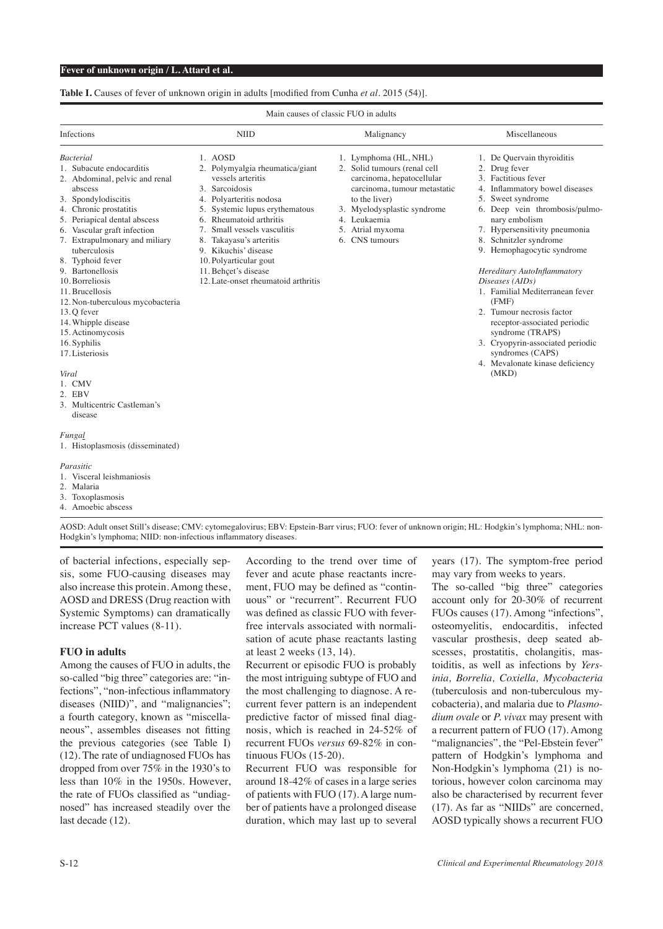# **Table I.** Causes of fever of unknown origin in adults [modified from Cunha *et al.* 2015 (54)].

| Main causes of classic FUO in adults                                                                                                                                                                                                                                                                                                                                                                                                                                                                                                             |                                                                                                                                                                                                                                                                                                                                                      |                                                                                                                                                                                                                          |                                                                                                                                                                                                                                                                                                                                                                                                                                                                                                                                                          |
|--------------------------------------------------------------------------------------------------------------------------------------------------------------------------------------------------------------------------------------------------------------------------------------------------------------------------------------------------------------------------------------------------------------------------------------------------------------------------------------------------------------------------------------------------|------------------------------------------------------------------------------------------------------------------------------------------------------------------------------------------------------------------------------------------------------------------------------------------------------------------------------------------------------|--------------------------------------------------------------------------------------------------------------------------------------------------------------------------------------------------------------------------|----------------------------------------------------------------------------------------------------------------------------------------------------------------------------------------------------------------------------------------------------------------------------------------------------------------------------------------------------------------------------------------------------------------------------------------------------------------------------------------------------------------------------------------------------------|
| Infections                                                                                                                                                                                                                                                                                                                                                                                                                                                                                                                                       | <b>NIID</b>                                                                                                                                                                                                                                                                                                                                          | Malignancy                                                                                                                                                                                                               | Miscellaneous                                                                                                                                                                                                                                                                                                                                                                                                                                                                                                                                            |
| <b>Bacterial</b><br>1. Subacute endocarditis<br>2. Abdominal, pelvic and renal<br>abscess<br>3. Spondylodiscitis<br>4. Chronic prostatitis<br>5. Periapical dental abscess<br>6. Vascular graft infection<br>7. Extrapulmonary and miliary<br>tuberculosis<br>8. Typhoid fever<br>9. Bartonellosis<br>10. Borreliosis<br>11. Brucellosis<br>12. Non-tuberculous mycobacteria<br>13.Q fever<br>14. Whipple disease<br>15. Actinomycosis<br>16. Syphilis<br>17. Listeriosis<br>Viral<br>1. CMV<br>2. EBV<br>3. Multicentric Castleman's<br>disease | 1. AOSD<br>2. Polymyalgia rheumatica/giant<br>vessels arteritis<br>3. Sarcoidosis<br>4. Polyarteritis nodosa<br>5. Systemic lupus erythematous<br>6. Rheumatoid arthritis<br>7. Small vessels vasculitis<br>8. Takayasu's arteritis<br>9. Kikuchis' disease<br>10. Polyarticular gout<br>11. Behçet's disease<br>12. Late-onset rheumatoid arthritis | 1. Lymphoma (HL, NHL)<br>2. Solid tumours (renal cell<br>carcinoma, hepatocellular<br>carcinoma, tumour metastatic<br>to the liver)<br>3. Myelodysplastic syndrome<br>4. Leukaemia<br>5. Atrial myxoma<br>6. CNS tumours | 1. De Quervain thyroiditis<br>2. Drug fever<br>3. Factitious fever<br>4. Inflammatory bowel diseases<br>5. Sweet syndrome<br>6. Deep vein thrombosis/pulmo-<br>nary embolism<br>7. Hypersensitivity pneumonia<br>8. Schnitzler syndrome<br>9. Hemophagocytic syndrome<br>Hereditary AutoInflammatory<br>Diseases (AIDs)<br>1. Familial Mediterranean fever<br>(FMF)<br>2. Tumour necrosis factor<br>receptor-associated periodic<br>syndrome (TRAPS)<br>3. Cryopyrin-associated periodic<br>syndromes (CAPS)<br>4. Mevalonate kinase deficiency<br>(MKD) |
| Fungal<br>1. Histoplasmosis (disseminated)<br>Parasitic<br>1. Visceral leishmaniosis<br>2. Malaria<br>3. Toxoplasmosis<br>4. Amoebic abscess                                                                                                                                                                                                                                                                                                                                                                                                     |                                                                                                                                                                                                                                                                                                                                                      |                                                                                                                                                                                                                          |                                                                                                                                                                                                                                                                                                                                                                                                                                                                                                                                                          |

AOSD: Adult onset Still's disease; CMV: cytomegalovirus; EBV: Epstein-Barr virus; FUO: fever of unknown origin; HL: Hodgkin's lymphoma; NHL: non-Hodgkin's lymphoma; NIID: non-infectious inflammatory diseases.

of bacterial infections, especially sepsis, some FUO-causing diseases may also increase this protein. Among these, AOSD and DRESS (Drug reaction with Systemic Symptoms) can dramatically increase PCT values (8-11).

## **FUO in adults**

Among the causes of FUO in adults, the so-called "big three" categories are: "infections", "non-infectious inflammatory diseases (NIID)", and "malignancies"; a fourth category, known as "miscellaneous", assembles diseases not fitting the previous categories (see Table I) (12). The rate of undiagnosed FUOs has dropped from over 75% in the 1930's to less than 10% in the 1950s. However, the rate of FUOs classified as "undiagnosed" has increased steadily over the last decade (12).

According to the trend over time of fever and acute phase reactants increment, FUO may be defined as "continuous" or "recurrent". Recurrent FUO was defined as classic FUO with feverfree intervals associated with normalisation of acute phase reactants lasting at least 2 weeks (13, 14).

Recurrent or episodic FUO is probably the most intriguing subtype of FUO and the most challenging to diagnose. A recurrent fever pattern is an independent predictive factor of missed final diagnosis, which is reached in 24-52% of recurrent FUOs *versus* 69-82% in continuous FUOs (15-20).

Recurrent FUO was responsible for around 18-42% of cases in a large series of patients with FUO (17). A large number of patients have a prolonged disease duration, which may last up to several years (17). The symptom-free period may vary from weeks to years.

The so-called "big three" categories account only for 20-30% of recurrent FUOs causes (17). Among "infections", osteomyelitis, endocarditis, infected vascular prosthesis, deep seated abscesses, prostatitis, cholangitis, mastoiditis, as well as infections by *Yersinia, Borrelia, Coxiella, Mycobacteria* (tuberculosis and non-tuberculous mycobacteria), and malaria due to *Plasmodium ovale* or *P. vivax* may present with a recurrent pattern of FUO (17). Among "malignancies", the "Pel-Ebstein fever" pattern of Hodgkin's lymphoma and Non-Hodgkin's lymphoma (21) is notorious, however colon carcinoma may also be characterised by recurrent fever (17). As far as "NIIDs" are concerned, AOSD typically shows a recurrent FUO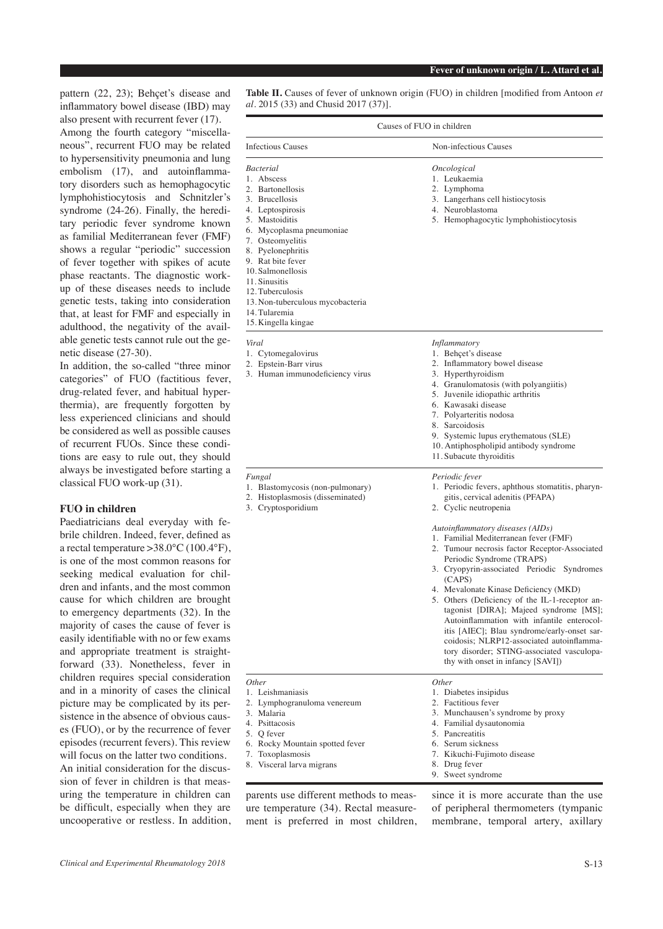pattern (22, 23); Behçet's disease and inflammatory bowel disease (IBD) may also present with recurrent fever (17). Among the fourth category "miscellaneous", recurrent FUO may be related to hypersensitivity pneumonia and lung embolism (17), and autoinflammatory disorders such as hemophagocytic lymphohistiocytosis and Schnitzler's syndrome (24-26). Finally, the hereditary periodic fever syndrome known as familial Mediterranean fever (FMF) shows a regular "periodic" succession of fever together with spikes of acute phase reactants. The diagnostic workup of these diseases needs to include genetic tests, taking into consideration that, at least for FMF and especially in adulthood, the negativity of the available genetic tests cannot rule out the genetic disease (27-30).

In addition, the so-called "three minor categories" of FUO (factitious fever, drug-related fever, and habitual hyperthermia), are frequently forgotten by less experienced clinicians and should be considered as well as possible causes of recurrent FUOs. Since these conditions are easy to rule out, they should always be investigated before starting a classical FUO work-up (31).

# **FUO in children**

Paediatricians deal everyday with febrile children. Indeed, fever, defined as a rectal temperature >38.0°C (100.4°F), is one of the most common reasons for seeking medical evaluation for children and infants, and the most common cause for which children are brought to emergency departments (32). In the majority of cases the cause of fever is easily identifiable with no or few exams and appropriate treatment is straightforward (33). Nonetheless, fever in children requires special consideration and in a minority of cases the clinical picture may be complicated by its persistence in the absence of obvious causes (FUO), or by the recurrence of fever episodes (recurrent fevers). This review will focus on the latter two conditions. An initial consideration for the discussion of fever in children is that measuring the temperature in children can be difficult, especially when they are uncooperative or restless. In addition,

**Table II.** Causes of fever of unknown origin (FUO) in children [modified from Antoon *et al.* 2015 (33) and Chusid 2017 (37)].

| Causes of FUO in children                                                                                                                                                                                                                                                                                                                  |                                                                                                                                                                                                                                                                                                                                                                                                                                                                                                                                                                                                                                                                                                                             |  |
|--------------------------------------------------------------------------------------------------------------------------------------------------------------------------------------------------------------------------------------------------------------------------------------------------------------------------------------------|-----------------------------------------------------------------------------------------------------------------------------------------------------------------------------------------------------------------------------------------------------------------------------------------------------------------------------------------------------------------------------------------------------------------------------------------------------------------------------------------------------------------------------------------------------------------------------------------------------------------------------------------------------------------------------------------------------------------------------|--|
| <b>Infectious Causes</b>                                                                                                                                                                                                                                                                                                                   | Non-infectious Causes                                                                                                                                                                                                                                                                                                                                                                                                                                                                                                                                                                                                                                                                                                       |  |
| <i>Bacterial</i><br>1. Abscess<br>2. Bartonellosis<br>3. Brucellosis<br>4. Leptospirosis<br>5. Mastoiditis<br>6. Mycoplasma pneumoniae<br>7. Osteomyelitis<br>8. Pyelonephritis<br>9. Rat bite fever<br>10. Salmonellosis<br>11. Sinusitis<br>12. Tuberculosis<br>13. Non-tuberculous mycobacteria<br>14. Tularemia<br>15. Kingella kingae | Oncological<br>1. Leukaemia<br>2. Lymphoma<br>3. Langerhans cell histiocytosis<br>4. Neuroblastoma<br>5. Hemophagocytic lymphohistiocytosis                                                                                                                                                                                                                                                                                                                                                                                                                                                                                                                                                                                 |  |
| Viral<br>1. Cytomegalovirus<br>2. Epstein-Barr virus<br>3. Human immunodeficiency virus                                                                                                                                                                                                                                                    | <i>Inflammatory</i><br>1. Behçet's disease<br>2. Inflammatory bowel disease<br>3. Hyperthyroidism<br>4. Granulomatosis (with polyangiitis)<br>5. Juvenile idiopathic arthritis<br>6. Kawasaki disease<br>7. Polyarteritis nodosa<br>8. Sarcoidosis<br>9. Systemic lupus erythematous (SLE)<br>10. Antiphospholipid antibody syndrome<br>11. Subacute thyroiditis                                                                                                                                                                                                                                                                                                                                                            |  |
| Fungal<br>1. Blastomycosis (non-pulmonary)<br>2. Histoplasmosis (disseminated)<br>3. Cryptosporidium                                                                                                                                                                                                                                       | <i>Periodic fever</i><br>1. Periodic fevers, aphthous stomatitis, pharyn-<br>gitis, cervical adenitis (PFAPA)<br>2. Cyclic neutropenia<br>Autoinflammatory diseases (AIDs)<br>1. Familial Mediterranean fever (FMF)<br>2. Tumour necrosis factor Receptor-Associated<br>Periodic Syndrome (TRAPS)<br>3. Cryopyrin-associated Periodic Syndromes<br>(CAPS)<br>4. Mevalonate Kinase Deficiency (MKD)<br>5. Others (Deficiency of the IL-1-receptor an-<br>tagonist [DIRA]; Majeed syndrome [MS];<br>Autoinflammation with infantile enterocol-<br>itis [AIEC]; Blau syndrome/early-onset sar-<br>coidosis; NLRP12-associated autoinflamma-<br>tory disorder; STING-associated vasculopa-<br>thy with onset in infancy [SAVI]) |  |
| <i>Other</i><br>1. Leishmaniasis<br>2. Lymphogranuloma venereum<br>3. Malaria<br>4. Psittacosis<br>5. O fever<br>6. Rocky Mountain spotted fever<br>7. Toxoplasmosis<br>8. Visceral larva migrans                                                                                                                                          | <i>Other</i><br>1. Diabetes insipidus<br>2. Factitious fever<br>3. Munchausen's syndrome by proxy<br>4. Familial dysautonomia<br>5. Pancreatitis<br>6. Serum sickness<br>7. Kikuchi-Fujimoto disease<br>8. Drug fever<br>9. Sweet syndrome                                                                                                                                                                                                                                                                                                                                                                                                                                                                                  |  |

parents use different methods to measure temperature (34). Rectal measurement is preferred in most children, since it is more accurate than the use of peripheral thermometers (tympanic membrane, temporal artery, axillary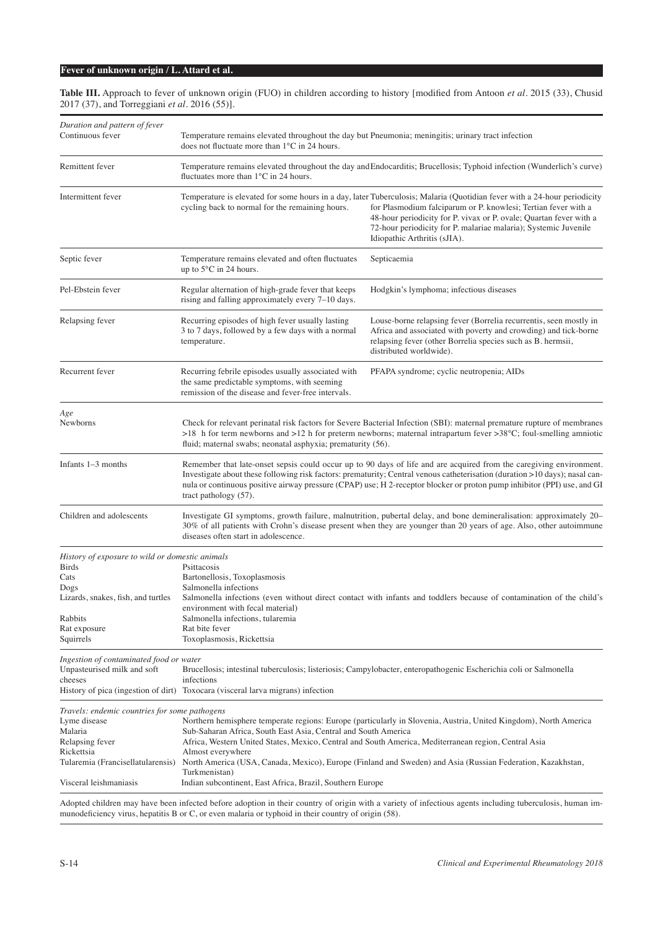**Table III.** Approach to fever of unknown origin (FUO) in children according to history [modified from Antoon *et al.* 2015 (33), Chusid 2017 (37), and Torreggiani *et al.* 2016 (55)].

| Duration and pattern of fever<br>Continuous fever | Temperature remains elevated throughout the day but Pneumonia; meningitis; urinary tract infection<br>does not fluctuate more than 1°C in 24 hours.                                                                                                                                                                                                                                                    |                                                                                                                                                                                                                                                                                                                                                                     |
|---------------------------------------------------|--------------------------------------------------------------------------------------------------------------------------------------------------------------------------------------------------------------------------------------------------------------------------------------------------------------------------------------------------------------------------------------------------------|---------------------------------------------------------------------------------------------------------------------------------------------------------------------------------------------------------------------------------------------------------------------------------------------------------------------------------------------------------------------|
| Remittent fever                                   | Temperature remains elevated throughout the day and Endocarditis; Brucellosis; Typhoid infection (Wunderlich's curve)<br>fluctuates more than 1°C in 24 hours.                                                                                                                                                                                                                                         |                                                                                                                                                                                                                                                                                                                                                                     |
| Intermittent fever                                | cycling back to normal for the remaining hours.                                                                                                                                                                                                                                                                                                                                                        | Temperature is elevated for some hours in a day, later Tuberculosis; Malaria (Quotidian fever with a 24-hour periodicity<br>for Plasmodium falciparum or P. knowlesi; Tertian fever with a<br>48-hour periodicity for P. vivax or P. ovale; Quartan fever with a<br>72-hour periodicity for P. malariae malaria); Systemic Juvenile<br>Idiopathic Arthritis (sJIA). |
| Septic fever                                      | Temperature remains elevated and often fluctuates<br>up to $5^{\circ}$ C in 24 hours.                                                                                                                                                                                                                                                                                                                  | Septicaemia                                                                                                                                                                                                                                                                                                                                                         |
| Pel-Ebstein fever                                 | Regular alternation of high-grade fever that keeps<br>rising and falling approximately every 7-10 days.                                                                                                                                                                                                                                                                                                | Hodgkin's lymphoma; infectious diseases                                                                                                                                                                                                                                                                                                                             |
| Relapsing fever                                   | Recurring episodes of high fever usually lasting<br>3 to 7 days, followed by a few days with a normal<br>temperature.                                                                                                                                                                                                                                                                                  | Louse-borne relapsing fever (Borrelia recurrentis, seen mostly in<br>Africa and associated with poverty and crowding) and tick-borne<br>relapsing fever (other Borrelia species such as B. hermsii,<br>distributed worldwide).                                                                                                                                      |
| Recurrent fever                                   | Recurring febrile episodes usually associated with<br>the same predictable symptoms, with seeming<br>remission of the disease and fever-free intervals.                                                                                                                                                                                                                                                | PFAPA syndrome; cyclic neutropenia; AIDs                                                                                                                                                                                                                                                                                                                            |
| Age                                               |                                                                                                                                                                                                                                                                                                                                                                                                        |                                                                                                                                                                                                                                                                                                                                                                     |
| Newborns                                          | Check for relevant perinatal risk factors for Severe Bacterial Infection (SBI): maternal premature rupture of membranes<br>>18 h for term newborns and >12 h for preterm newborns; maternal intrapartum fever >38 $^{\circ}$ C; foul-smelling amniotic<br>fluid; maternal swabs; neonatal asphyxia; prematurity (56).                                                                                  |                                                                                                                                                                                                                                                                                                                                                                     |
| Infants $1-3$ months                              | Remember that late-onset sepsis could occur up to 90 days of life and are acquired from the caregiving environment.<br>Investigate about these following risk factors: prematurity; Central venous catheterisation (duration >10 days); nasal can-<br>nula or continuous positive airway pressure (CPAP) use; H 2-receptor blocker or proton pump inhibitor (PPI) use, and GI<br>tract pathology (57). |                                                                                                                                                                                                                                                                                                                                                                     |
| Children and adolescents                          | Investigate GI symptoms, growth failure, malnutrition, pubertal delay, and bone demineralisation: approximately 20–<br>30% of all patients with Crohn's disease present when they are younger than 20 years of age. Also, other autoimmune<br>diseases often start in adolescence.                                                                                                                     |                                                                                                                                                                                                                                                                                                                                                                     |
| History of exposure to wild or domestic animals   |                                                                                                                                                                                                                                                                                                                                                                                                        |                                                                                                                                                                                                                                                                                                                                                                     |
| Birds                                             | Psittacosis                                                                                                                                                                                                                                                                                                                                                                                            |                                                                                                                                                                                                                                                                                                                                                                     |
| Cats                                              | Bartonellosis, Toxoplasmosis                                                                                                                                                                                                                                                                                                                                                                           |                                                                                                                                                                                                                                                                                                                                                                     |
| Dogs                                              | Salmonella infections                                                                                                                                                                                                                                                                                                                                                                                  |                                                                                                                                                                                                                                                                                                                                                                     |
| Lizards, snakes, fish, and turtles                |                                                                                                                                                                                                                                                                                                                                                                                                        | Salmonella infections (even without direct contact with infants and toddlers because of contamination of the child's                                                                                                                                                                                                                                                |
|                                                   | environment with fecal material)                                                                                                                                                                                                                                                                                                                                                                       |                                                                                                                                                                                                                                                                                                                                                                     |
| Rabbits                                           | Salmonella infections, tularemia                                                                                                                                                                                                                                                                                                                                                                       |                                                                                                                                                                                                                                                                                                                                                                     |
| Rat exposure<br>Squirrels                         | Rat bite fever<br>Toxoplasmosis, Rickettsia                                                                                                                                                                                                                                                                                                                                                            |                                                                                                                                                                                                                                                                                                                                                                     |
|                                                   |                                                                                                                                                                                                                                                                                                                                                                                                        |                                                                                                                                                                                                                                                                                                                                                                     |
| Ingestion of contaminated food or water           |                                                                                                                                                                                                                                                                                                                                                                                                        |                                                                                                                                                                                                                                                                                                                                                                     |
| Unpasteurised milk and soft                       |                                                                                                                                                                                                                                                                                                                                                                                                        | Brucellosis; intestinal tuberculosis; listeriosis; Campylobacter, enteropathogenic Escherichia coli or Salmonella                                                                                                                                                                                                                                                   |
| cheeses                                           | infections                                                                                                                                                                                                                                                                                                                                                                                             |                                                                                                                                                                                                                                                                                                                                                                     |
|                                                   | History of pica (ingestion of dirt) Toxocara (visceral larva migrans) infection                                                                                                                                                                                                                                                                                                                        |                                                                                                                                                                                                                                                                                                                                                                     |
| Travels: endemic countries for some pathogens     |                                                                                                                                                                                                                                                                                                                                                                                                        |                                                                                                                                                                                                                                                                                                                                                                     |
| Lyme disease                                      |                                                                                                                                                                                                                                                                                                                                                                                                        | Northern hemisphere temperate regions: Europe (particularly in Slovenia, Austria, United Kingdom), North America                                                                                                                                                                                                                                                    |
| Malaria                                           | Sub-Saharan Africa, South East Asia, Central and South America                                                                                                                                                                                                                                                                                                                                         |                                                                                                                                                                                                                                                                                                                                                                     |
| Relapsing fever                                   | Africa, Western United States, Mexico, Central and South America, Mediterranean region, Central Asia                                                                                                                                                                                                                                                                                                   |                                                                                                                                                                                                                                                                                                                                                                     |
| Rickettsia                                        | Almost everywhere                                                                                                                                                                                                                                                                                                                                                                                      |                                                                                                                                                                                                                                                                                                                                                                     |
| Tularemia (Francisellatularensis)                 | Turkmenistan)                                                                                                                                                                                                                                                                                                                                                                                          | North America (USA, Canada, Mexico), Europe (Finland and Sweden) and Asia (Russian Federation, Kazakhstan,                                                                                                                                                                                                                                                          |
| Visceral leishmaniasis                            | Indian subcontinent, East Africa, Brazil, Southern Europe                                                                                                                                                                                                                                                                                                                                              |                                                                                                                                                                                                                                                                                                                                                                     |
|                                                   |                                                                                                                                                                                                                                                                                                                                                                                                        | Adopted children may have been infected before adoption in their country of origin with a variety of infectious agents including tuberculosis, buman im                                                                                                                                                                                                             |

lopted children may have been infected before adoption in their country of origin with a variety of infectious agents including tuberculosis, hu munodeficiency virus, hepatitis B or C, or even malaria or typhoid in their country of origin (58).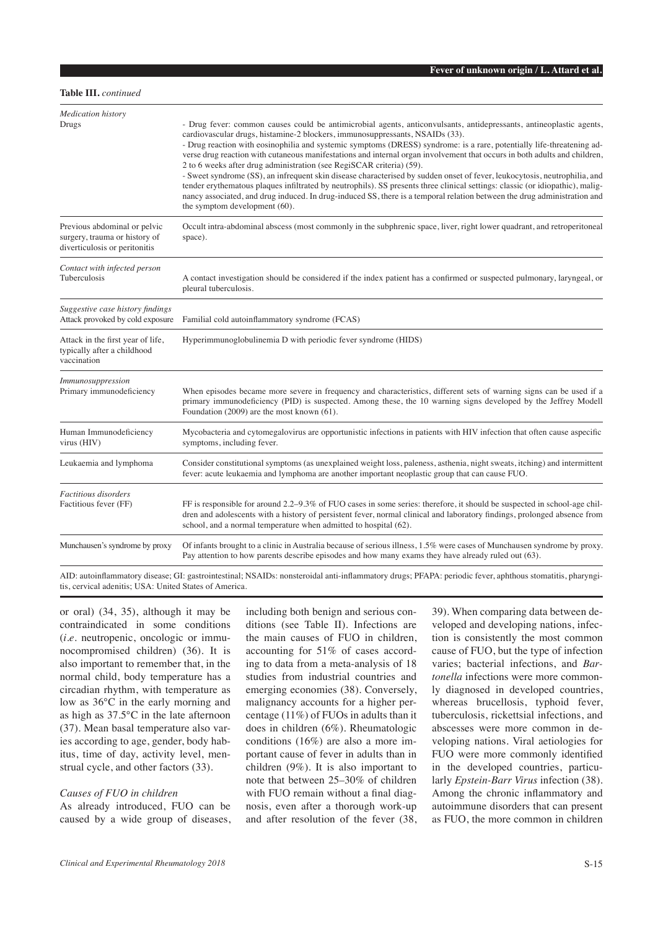# **Table III.** *continued*

| <b>Medication</b> history                                                                      |                                                                                                                                                                                                                                                                                                                                                                                                                                                                                                                                                                                                                                                                                                                                                                                                                                                                                                                                                              |  |
|------------------------------------------------------------------------------------------------|--------------------------------------------------------------------------------------------------------------------------------------------------------------------------------------------------------------------------------------------------------------------------------------------------------------------------------------------------------------------------------------------------------------------------------------------------------------------------------------------------------------------------------------------------------------------------------------------------------------------------------------------------------------------------------------------------------------------------------------------------------------------------------------------------------------------------------------------------------------------------------------------------------------------------------------------------------------|--|
| Drugs                                                                                          | - Drug fever: common causes could be antimicrobial agents, anticonvulsants, antidepressants, antineoplastic agents,<br>cardiovascular drugs, histamine-2 blockers, immunosuppressants, NSAIDs (33).<br>- Drug reaction with eosinophilia and systemic symptoms (DRESS) syndrome: is a rare, potentially life-threatening ad-<br>verse drug reaction with cutaneous manifestations and internal organ involvement that occurs in both adults and children,<br>2 to 6 weeks after drug administration (see RegiSCAR criteria) (59).<br>- Sweet syndrome (SS), an infrequent skin disease characterised by sudden onset of fever, leukocytosis, neutrophilia, and<br>tender erythematous plaques infiltrated by neutrophils). SS presents three clinical settings: classic (or idiopathic), malig-<br>nancy associated, and drug induced. In drug-induced SS, there is a temporal relation between the drug administration and<br>the symptom development (60). |  |
| Previous abdominal or pelvic<br>surgery, trauma or history of<br>diverticulosis or peritonitis | Occult intra-abdominal abscess (most commonly in the subphrenic space, liver, right lower quadrant, and retroperitoneal<br>space).                                                                                                                                                                                                                                                                                                                                                                                                                                                                                                                                                                                                                                                                                                                                                                                                                           |  |
| Contact with infected person<br>Tuberculosis                                                   | A contact investigation should be considered if the index patient has a confirmed or suspected pulmonary, laryngeal, or<br>pleural tuberculosis.                                                                                                                                                                                                                                                                                                                                                                                                                                                                                                                                                                                                                                                                                                                                                                                                             |  |
| Suggestive case history findings<br>Attack provoked by cold exposure                           | Familial cold autoinflammatory syndrome (FCAS)                                                                                                                                                                                                                                                                                                                                                                                                                                                                                                                                                                                                                                                                                                                                                                                                                                                                                                               |  |
| Attack in the first year of life,<br>typically after a childhood<br>vaccination                | Hyperimmunoglobulinemia D with periodic fever syndrome (HIDS)                                                                                                                                                                                                                                                                                                                                                                                                                                                                                                                                                                                                                                                                                                                                                                                                                                                                                                |  |
| Immunosuppression<br>Primary immunodeficiency                                                  | When episodes became more severe in frequency and characteristics, different sets of warning signs can be used if a<br>primary immunodeficiency (PID) is suspected. Among these, the 10 warning signs developed by the Jeffrey Modell<br>Foundation (2009) are the most known (61).                                                                                                                                                                                                                                                                                                                                                                                                                                                                                                                                                                                                                                                                          |  |
| Human Immunodeficiency<br>virus (HIV)                                                          | Mycobacteria and cytomegalovirus are opportunistic infections in patients with HIV infection that often cause aspecific<br>symptoms, including fever.                                                                                                                                                                                                                                                                                                                                                                                                                                                                                                                                                                                                                                                                                                                                                                                                        |  |
| Leukaemia and lymphoma                                                                         | Consider constitutional symptoms (as unexplained weight loss, paleness, asthenia, night sweats, itching) and intermittent<br>fever: acute leukaemia and lymphoma are another important neoplastic group that can cause FUO.                                                                                                                                                                                                                                                                                                                                                                                                                                                                                                                                                                                                                                                                                                                                  |  |
| Factitious disorders<br>Factitious fever (FF)                                                  | FF is responsible for around 2.2–9.3% of FUO cases in some series: therefore, it should be suspected in school-age chil-<br>dren and adolescents with a history of persistent fever, normal clinical and laboratory findings, prolonged absence from<br>school, and a normal temperature when admitted to hospital (62).                                                                                                                                                                                                                                                                                                                                                                                                                                                                                                                                                                                                                                     |  |
| Munchausen's syndrome by proxy                                                                 | Of infants brought to a clinic in Australia because of serious illness, 1.5% were cases of Munchausen syndrome by proxy.<br>Pay attention to how parents describe episodes and how many exams they have already ruled out (63).                                                                                                                                                                                                                                                                                                                                                                                                                                                                                                                                                                                                                                                                                                                              |  |
|                                                                                                | AID: autoinflammatory disease; GI: gastrointestinal; NSAIDs: nonsteroidal anti-inflammatory drugs; PFAPA: periodic fever, aphthous stomatitis, pharyngi-                                                                                                                                                                                                                                                                                                                                                                                                                                                                                                                                                                                                                                                                                                                                                                                                     |  |

tis, cervical adenitis; USA: United States of America.

or oral) (34, 35), although it may be contraindicated in some conditions (*i.e.* neutropenic, oncologic or immunocompromised children) (36). It is also important to remember that, in the normal child, body temperature has a circadian rhythm, with temperature as low as 36°C in the early morning and as high as 37.5°C in the late afternoon (37). Mean basal temperature also varies according to age, gender, body habitus, time of day, activity level, menstrual cycle, and other factors (33).

## *Causes of FUO in children*

As already introduced, FUO can be caused by a wide group of diseases, including both benign and serious conditions (see Table II). Infections are the main causes of FUO in children, accounting for 51% of cases according to data from a meta-analysis of 18 studies from industrial countries and emerging economies (38). Conversely, malignancy accounts for a higher percentage (11%) of FUOs in adults than it does in children (6%). Rheumatologic conditions (16%) are also a more important cause of fever in adults than in children (9%). It is also important to note that between 25–30% of children with FUO remain without a final diagnosis, even after a thorough work-up and after resolution of the fever (38, 39). When comparing data between developed and developing nations, infection is consistently the most common cause of FUO, but the type of infection varies; bacterial infections, and *Bartonella* infections were more commonly diagnosed in developed countries, whereas brucellosis, typhoid fever, tuberculosis, rickettsial infections, and abscesses were more common in developing nations. Viral aetiologies for FUO were more commonly identified in the developed countries, particularly *Epstein-Barr Virus* infection (38). Among the chronic inflammatory and autoimmune disorders that can present as FUO, the more common in children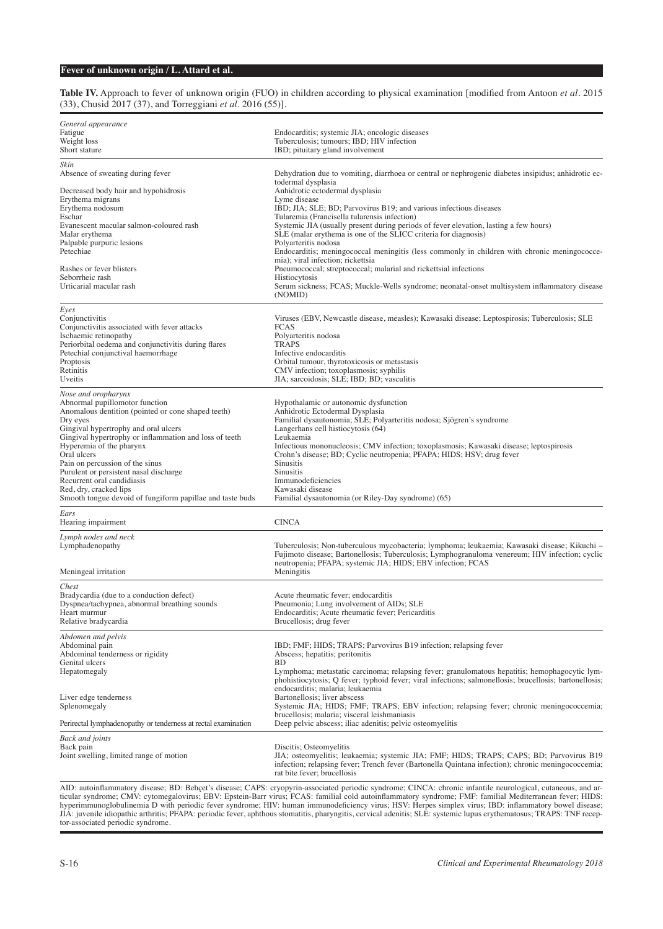#### **Table IV.** Approach to fever of unknown origin (FUO) in children according to physical examination [modified from Antoon *et al.* 2015 (33), Chusid 2017 (37), and Torreggiani *et al.* 2016 (55)].

| General appearance<br>Fatigue<br>Weight loss<br>Short stature                                  | Endocarditis; systemic JIA; oncologic diseases<br>Tuberculosis; tumours; IBD; HIV infection<br>IBD; pituitary gland involvement                                                                |
|------------------------------------------------------------------------------------------------|------------------------------------------------------------------------------------------------------------------------------------------------------------------------------------------------|
| Skin<br>Absence of sweating during fever                                                       | Dehydration due to vomiting, diarrhoea or central or nephrogenic diabetes insipidus; anhidrotic ec-<br>todermal dysplasia                                                                      |
| Decreased body hair and hypohidrosis                                                           | Anhidrotic ectodermal dysplasia                                                                                                                                                                |
| Erythema migrans<br>Erythema nodosum                                                           | Lyme disease<br>IBD; JIA; SLE; BD; Parvovirus B19; and various infectious diseases                                                                                                             |
| Eschar                                                                                         | Tularemia (Francisella tularensis infection)                                                                                                                                                   |
| Evanescent macular salmon-coloured rash<br>Malar erythema                                      | Systemic JIA (usually present during periods of fever elevation, lasting a few hours)                                                                                                          |
| Palpable purpuric lesions                                                                      | SLE (malar erythema is one of the SLICC criteria for diagnosis)<br>Polyarteritis nodosa                                                                                                        |
| Petechiae                                                                                      | Endocarditis; meningococcal meningitis (less commonly in children with chronic meningococce-                                                                                                   |
| Rashes or fever blisters                                                                       | mia); viral infection; rickettsia<br>Pneumococcal; streptococcal; malarial and rickettsial infections                                                                                          |
| Seborrheic rash                                                                                | Histiocytosis                                                                                                                                                                                  |
| Urticarial macular rash                                                                        | Serum sickness; FCAS; Muckle-Wells syndrome; neonatal-onset multisystem inflammatory disease<br>(NOMID)                                                                                        |
| Eyes                                                                                           |                                                                                                                                                                                                |
| Conjunctivitis<br>Conjunctivitis associated with fever attacks                                 | Viruses (EBV, Newcastle disease, measles); Kawasaki disease; Leptospirosis; Tuberculosis; SLE<br><b>FCAS</b>                                                                                   |
| Ischaemic retinopathy                                                                          | Polyarteritis nodosa                                                                                                                                                                           |
| Periorbital oedema and conjunctivitis during flares<br>Petechial conjunctival haemorrhage      | <b>TRAPS</b><br>Infective endocarditis                                                                                                                                                         |
| Proptosis                                                                                      | Orbital tumour, thyrotoxicosis or metastasis                                                                                                                                                   |
| Retinitis                                                                                      | CMV infection; toxoplasmosis; syphilis                                                                                                                                                         |
| Uveitis                                                                                        | JIA; sarcoidosis; SLE; IBD; BD; vasculitis                                                                                                                                                     |
| Nose and oropharynx<br>Abnormal pupillomotor function                                          | Hypothalamic or autonomic dysfunction                                                                                                                                                          |
| Anomalous dentition (pointed or cone shaped teeth)                                             | Anhidrotic Ectodermal Dysplasia                                                                                                                                                                |
| Dry eyes                                                                                       | Familial dysautonomia; SLE; Polyarteritis nodosa; Sjögren's syndrome                                                                                                                           |
| Gingival hypertrophy and oral ulcers<br>Gingival hypertrophy or inflammation and loss of teeth | Langerhans cell histiocytosis (64)<br>Leukaemia                                                                                                                                                |
| Hyperemia of the pharynx                                                                       | Infectious mononucleosis; CMV infection; toxoplasmosis; Kawasaki disease; leptospirosis                                                                                                        |
| Oral ulcers                                                                                    | Crohn's disease; BD; Cyclic neutropenia; PFAPA; HIDS; HSV; drug fever                                                                                                                          |
| Pain on percussion of the sinus<br>Purulent or persistent nasal discharge                      | <b>Sinusitis</b><br>Sinusitis                                                                                                                                                                  |
| Recurrent oral candidiasis                                                                     | Immunodeficiencies                                                                                                                                                                             |
| Red, dry, cracked lips<br>Smooth tongue devoid of fungiform papillae and taste buds            | Kawasaki disease<br>Familial dysautonomia (or Riley-Day syndrome) (65)                                                                                                                         |
|                                                                                                |                                                                                                                                                                                                |
| Ears<br>Hearing impairment                                                                     | <b>CINCA</b>                                                                                                                                                                                   |
| Lymph nodes and neck                                                                           |                                                                                                                                                                                                |
| Lymphadenopathy                                                                                | Tuberculosis; Non-tuberculous mycobacteria; lymphoma; leukaemia; Kawasaki disease; Kikuchi -<br>Fujimoto disease; Bartonellosis; Tuberculosis; Lymphogranuloma venereum; HIV infection; cyclic |
|                                                                                                | neutropenia; PFAPA; systemic JIA; HIDS; EBV infection; FCAS                                                                                                                                    |
| Meningeal irritation                                                                           | Meningitis                                                                                                                                                                                     |
| Chest                                                                                          |                                                                                                                                                                                                |
| Bradycardia (due to a conduction defect)<br>Dyspnea/tachypnea, abnormal breathing sounds       | Acute rheumatic fever; endocarditis<br>Pneumonia; Lung involvement of AIDs; SLE                                                                                                                |
| Heart murmur                                                                                   | Endocarditis; Acute rheumatic fever; Pericarditis                                                                                                                                              |
| Relative bradycardia                                                                           | Brucellosis; drug fever                                                                                                                                                                        |
| Abdomen and pelvis                                                                             |                                                                                                                                                                                                |
| Abdominal pain<br>Abdominal tenderness or rigidity                                             | IBD; FMF; HIDS; TRAPS; Parvovirus B19 infection; relapsing fever<br>Abscess; hepatitis; peritonitis                                                                                            |
| Genital ulcers                                                                                 | <b>BD</b>                                                                                                                                                                                      |
| Hepatomegaly                                                                                   | Lymphoma; metastatic carcinoma; relapsing fever; granulomatous hepatitis; hemophagocytic lym-                                                                                                  |
|                                                                                                | phohistiocytosis; Q fever; typhoid fever; viral infections; salmonellosis; brucellosis; bartonellosis;<br>endocarditis; malaria; leukaemia                                                     |
| Liver edge tenderness                                                                          | Bartonellosis; liver abscess                                                                                                                                                                   |
| Splenomegaly                                                                                   | Systemic JIA; HIDS; FMF; TRAPS; EBV infection; relapsing fever; chronic meningococcemia;                                                                                                       |
| Perirectal lymphadenopathy or tenderness at rectal examination                                 | brucellosis; malaria; visceral leishmaniasis<br>Deep pelvic abscess; iliac adenitis; pelvic osteomyelitis                                                                                      |
| Back and joints                                                                                |                                                                                                                                                                                                |
| Back pain                                                                                      | Discitis; Osteomyelitis                                                                                                                                                                        |
| Joint swelling, limited range of motion                                                        | JIA; osteomyelitis; leukaemia; systemic JIA; FMF; HIDS; TRAPS; CAPS; BD; Parvovirus B19<br>infection; relapsing fever; Trench fever (Bartonella Quintana infection); chronic meningococcemia;  |
|                                                                                                | rat bite fever; brucellosis                                                                                                                                                                    |
|                                                                                                |                                                                                                                                                                                                |

AID: autoinflammatory disease; BD: Behçet's disease; CAPS: cryopyrin-associated periodic syndrome; CINCA: chronic infantile neurological, cutaneous, and articular syndrome; CMV: cytomegalovirus; EBV: Epstein-Barr virus; FCAS: familial cold autoinflammatory syndrome; FMF: familial Mediterranean fever; HIDS: hyperimmunoglobulinemia D with periodic fever syndrome; HIV: human immunodeficiency virus; HSV: Herpes simplex virus; IBD: inflammatory bowel disease; JIA: juvenile idiopathic arthritis; PFAPA: periodic fever, aphthous stomatitis, pharyngitis, cervical adenitis; SLE: systemic lupus erythematosus; TRAPS: TNF receptor-associated periodic syndrome.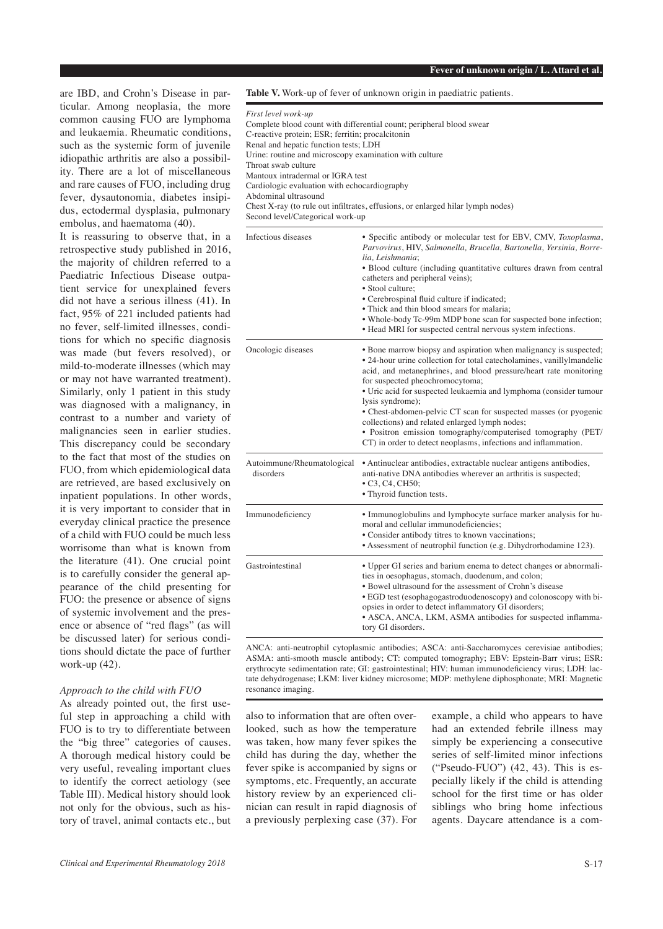are IBD, and Crohn's Disease in particular. Among neoplasia, the more common causing FUO are lymphoma and leukaemia. Rheumatic conditions, such as the systemic form of juvenile idiopathic arthritis are also a possibility. There are a lot of miscellaneous and rare causes of FUO, including drug fever, dysautonomia, diabetes insipidus, ectodermal dysplasia, pulmonary embolus, and haematoma (40).

It is reassuring to observe that, in a retrospective study published in 2016, the majority of children referred to a Paediatric Infectious Disease outpatient service for unexplained fevers did not have a serious illness (41). In fact, 95% of 221 included patients had no fever, self-limited illnesses, conditions for which no specific diagnosis was made (but fevers resolved), or mild-to-moderate illnesses (which may or may not have warranted treatment). Similarly, only 1 patient in this study was diagnosed with a malignancy, in contrast to a number and variety of malignancies seen in earlier studies. This discrepancy could be secondary to the fact that most of the studies on FUO, from which epidemiological data are retrieved, are based exclusively on inpatient populations. In other words, it is very important to consider that in everyday clinical practice the presence of a child with FUO could be much less worrisome than what is known from the literature (41). One crucial point is to carefully consider the general appearance of the child presenting for FUO: the presence or absence of signs of systemic involvement and the presence or absence of "red flags" (as will be discussed later) for serious conditions should dictate the pace of further work-up (42).

## *Approach to the child with FUO*

As already pointed out, the first useful step in approaching a child with FUO is to try to differentiate between the "big three" categories of causes. A thorough medical history could be very useful, revealing important clues to identify the correct aetiology (see Table III). Medical history should look not only for the obvious, such as history of travel, animal contacts etc., but

**Table V.** Work-up of fever of unknown origin in paediatric patients.

| First level work-up                                                             |
|---------------------------------------------------------------------------------|
| Complete blood count with differential count; peripheral blood swear            |
| C-reactive protein; ESR; ferritin; procalcitonin                                |
| Renal and hepatic function tests; LDH                                           |
| Urine: routine and microscopy examination with culture                          |
| Throat swab culture                                                             |
| Mantoux intradermal or IGRA test                                                |
| Cardiologic evaluation with echocardiography                                    |
| Abdominal ultrasound                                                            |
| Chest X-ray (to rule out infiltrates, effusions, or enlarged hilar lymph nodes) |
| Second level/Categorical work-up                                                |

| Infectious diseases                     | • Specific antibody or molecular test for EBV, CMV, Toxoplasma,<br>Parvovirus, HIV, Salmonella, Brucella, Bartonella, Yersinia, Borre-<br>lia, Leishmania;<br>• Blood culture (including quantitative cultures drawn from central<br>catheters and peripheral veins);<br>• Stool culture:<br>• Cerebrospinal fluid culture if indicated;<br>• Thick and thin blood smears for malaria:<br>• Whole-body Tc-99m MDP bone scan for suspected bone infection;<br>• Head MRI for suspected central nervous system infections.                                                                             |
|-----------------------------------------|------------------------------------------------------------------------------------------------------------------------------------------------------------------------------------------------------------------------------------------------------------------------------------------------------------------------------------------------------------------------------------------------------------------------------------------------------------------------------------------------------------------------------------------------------------------------------------------------------|
| Oncologic diseases                      | • Bone marrow biopsy and aspiration when malignancy is suspected;<br>• 24-hour urine collection for total catecholamines, vanilly lmandelic<br>acid, and metanephrines, and blood pressure/heart rate monitoring<br>for suspected pheochromocytoma;<br>• Uric acid for suspected leukaemia and lymphoma (consider tumour<br>lysis syndrome);<br>• Chest-abdomen-pelvic CT scan for suspected masses (or pyogenic<br>collections) and related enlarged lymph nodes;<br>· Positron emission tomography/computerised tomography (PET/<br>CT) in order to detect neoplasms, infections and inflammation. |
| Autoimmune/Rheumatological<br>disorders | • Antinuclear antibodies, extractable nuclear antigens antibodies,<br>anti-native DNA antibodies wherever an arthritis is suspected;<br>$\bullet$ C <sub>3</sub> , C <sub>4</sub> , C <sub>H</sub> <sub>50</sub> ;<br>• Thyroid function tests.                                                                                                                                                                                                                                                                                                                                                      |
| Immunodeficiency                        | • Immunoglobulins and lymphocyte surface marker analysis for hu-<br>moral and cellular immunodeficiencies;<br>• Consider antibody titres to known vaccinations;<br>• Assessment of neutrophil function (e.g. Dihydrorhodamine 123).                                                                                                                                                                                                                                                                                                                                                                  |
| Gastrointestinal                        | • Upper GI series and barium enema to detect changes or abnormali-<br>ties in oesophagus, stomach, duodenum, and colon;<br>• Bowel ultrasound for the assessment of Crohn's disease<br>• EGD test (esophagogastroduodenoscopy) and colonoscopy with bi-<br>opsies in order to detect inflammatory GI disorders;<br>• ASCA, ANCA, LKM, ASMA antibodies for suspected inflamma-<br>tory GI disorders.                                                                                                                                                                                                  |

ANCA: anti-neutrophil cytoplasmic antibodies; ASCA: anti-Saccharomyces cerevisiae antibodies; ASMA: anti-smooth muscle antibody; CT: computed tomography; EBV: Epstein-Barr virus; ESR: erythrocyte sedimentation rate; GI: gastrointestinal; HIV: human immunodeficiency virus; LDH: lactate dehydrogenase; LKM: liver kidney microsome; MDP: methylene diphosphonate; MRI: Magnetic resonance imaging.

also to information that are often overlooked, such as how the temperature was taken, how many fever spikes the child has during the day, whether the fever spike is accompanied by signs or symptoms, etc. Frequently, an accurate history review by an experienced clinician can result in rapid diagnosis of a previously perplexing case (37). For

example, a child who appears to have had an extended febrile illness may simply be experiencing a consecutive series of self-limited minor infections ("Pseudo-FUO") (42, 43). This is especially likely if the child is attending school for the first time or has older siblings who bring home infectious agents. Daycare attendance is a com-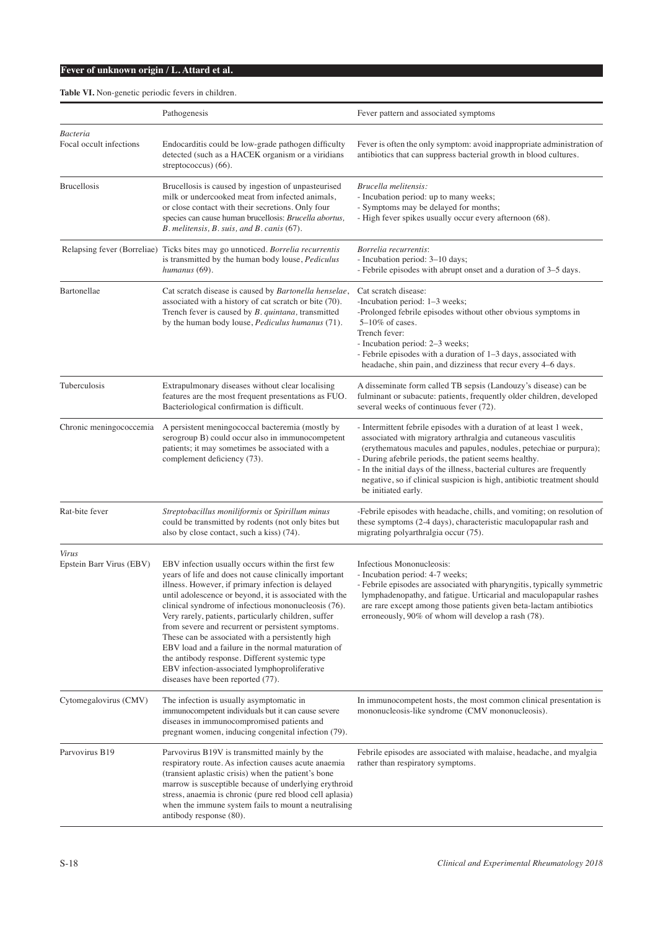# **Table VI.** Non-genetic periodic fevers in children.

|                                     | Pathogenesis                                                                                                                                                                                                                                                                                                                                                                                                                                                                                                                                                                                                                                   | Fever pattern and associated symptoms                                                                                                                                                                                                                                                                                                                                                                                                            |
|-------------------------------------|------------------------------------------------------------------------------------------------------------------------------------------------------------------------------------------------------------------------------------------------------------------------------------------------------------------------------------------------------------------------------------------------------------------------------------------------------------------------------------------------------------------------------------------------------------------------------------------------------------------------------------------------|--------------------------------------------------------------------------------------------------------------------------------------------------------------------------------------------------------------------------------------------------------------------------------------------------------------------------------------------------------------------------------------------------------------------------------------------------|
| Bacteria<br>Focal occult infections | Endocarditis could be low-grade pathogen difficulty<br>detected (such as a HACEK organism or a viridians<br>streptococcus $(66)$ .                                                                                                                                                                                                                                                                                                                                                                                                                                                                                                             | Fever is often the only symptom: avoid inappropriate administration of<br>antibiotics that can suppress bacterial growth in blood cultures.                                                                                                                                                                                                                                                                                                      |
| <b>Brucellosis</b>                  | Brucellosis is caused by ingestion of unpasteurised<br>milk or undercooked meat from infected animals,<br>or close contact with their secretions. Only four<br>species can cause human brucellosis: Brucella abortus,<br>B. melitensis, B. suis, and B. canis (67).                                                                                                                                                                                                                                                                                                                                                                            | Brucella melitensis:<br>- Incubation period: up to many weeks;<br>- Symptoms may be delayed for months;<br>- High fever spikes usually occur every afternoon (68).                                                                                                                                                                                                                                                                               |
|                                     | Relapsing fever (Borreliae) Ticks bites may go unnoticed. Borrelia recurrentis<br>is transmitted by the human body louse, Pediculus<br>humanus (69).                                                                                                                                                                                                                                                                                                                                                                                                                                                                                           | Borrelia recurrentis:<br>- Incubation period: 3-10 days;<br>- Febrile episodes with abrupt onset and a duration of 3–5 days.                                                                                                                                                                                                                                                                                                                     |
| Bartonellae                         | Cat scratch disease is caused by Bartonella henselae,<br>associated with a history of cat scratch or bite (70).<br>Trench fever is caused by B. quintana, transmitted<br>by the human body louse, Pediculus humanus (71).                                                                                                                                                                                                                                                                                                                                                                                                                      | Cat scratch disease:<br>-Incubation period: 1–3 weeks;<br>-Prolonged febrile episodes without other obvious symptoms in<br>$5-10\%$ of cases.<br>Trench fever:<br>- Incubation period: 2–3 weeks;<br>- Febrile episodes with a duration of 1-3 days, associated with<br>headache, shin pain, and dizziness that recur every 4–6 days.                                                                                                            |
| Tuberculosis                        | Extrapulmonary diseases without clear localising<br>features are the most frequent presentations as FUO.<br>Bacteriological confirmation is difficult.                                                                                                                                                                                                                                                                                                                                                                                                                                                                                         | A disseminate form called TB sepsis (Landouzy's disease) can be<br>fulminant or subacute: patients, frequently older children, developed<br>several weeks of continuous fever (72).                                                                                                                                                                                                                                                              |
| Chronic meningococcemia             | A persistent meningococcal bacteremia (mostly by<br>serogroup B) could occur also in immunocompetent<br>patients; it may sometimes be associated with a<br>complement deficiency (73).                                                                                                                                                                                                                                                                                                                                                                                                                                                         | - Intermittent febrile episodes with a duration of at least 1 week,<br>associated with migratory arthralgia and cutaneous vasculitis<br>(erythematous macules and papules, nodules, petechiae or purpura);<br>- During afebrile periods, the patient seems healthy.<br>- In the initial days of the illness, bacterial cultures are frequently<br>negative, so if clinical suspicion is high, antibiotic treatment should<br>be initiated early. |
| Rat-bite fever                      | Streptobacillus moniliformis or Spirillum minus<br>could be transmitted by rodents (not only bites but<br>also by close contact, such a kiss) (74).                                                                                                                                                                                                                                                                                                                                                                                                                                                                                            | -Febrile episodes with headache, chills, and vomiting; on resolution of<br>these symptoms (2-4 days), characteristic maculopapular rash and<br>migrating polyarthralgia occur (75).                                                                                                                                                                                                                                                              |
| Virus<br>Epstein Barr Virus (EBV)   | EBV infection usually occurs within the first few<br>years of life and does not cause clinically important<br>illness. However, if primary infection is delayed<br>until adolescence or beyond, it is associated with the<br>clinical syndrome of infectious mononucleosis (76).<br>Very rarely, patients, particularly children, suffer<br>from severe and recurrent or persistent symptoms.<br>These can be associated with a persistently high<br>EBV load and a failure in the normal maturation of<br>the antibody response. Different systemic type<br>EBV infection-associated lymphoproliferative<br>diseases have been reported (77). | Infectious Mononucleosis:<br>- Incubation period: 4-7 weeks;<br>- Febrile episodes are associated with pharyngitis, typically symmetric<br>lymphadenopathy, and fatigue. Urticarial and maculopapular rashes<br>are rare except among those patients given beta-lactam antibiotics<br>erroneously, 90% of whom will develop a rash (78).                                                                                                         |
| Cytomegalovirus (CMV)               | The infection is usually asymptomatic in<br>immunocompetent individuals but it can cause severe<br>diseases in immunocompromised patients and<br>pregnant women, inducing congenital infection (79).                                                                                                                                                                                                                                                                                                                                                                                                                                           | In immunocompetent hosts, the most common clinical presentation is<br>mononucleosis-like syndrome (CMV mononucleosis).                                                                                                                                                                                                                                                                                                                           |
| Parvovirus B19                      | Parvovirus B19V is transmitted mainly by the<br>respiratory route. As infection causes acute anaemia<br>(transient aplastic crisis) when the patient's bone<br>marrow is susceptible because of underlying erythroid<br>stress, anaemia is chronic (pure red blood cell aplasia)<br>when the immune system fails to mount a neutralising<br>antibody response (80).                                                                                                                                                                                                                                                                            | Febrile episodes are associated with malaise, headache, and myalgia<br>rather than respiratory symptoms.                                                                                                                                                                                                                                                                                                                                         |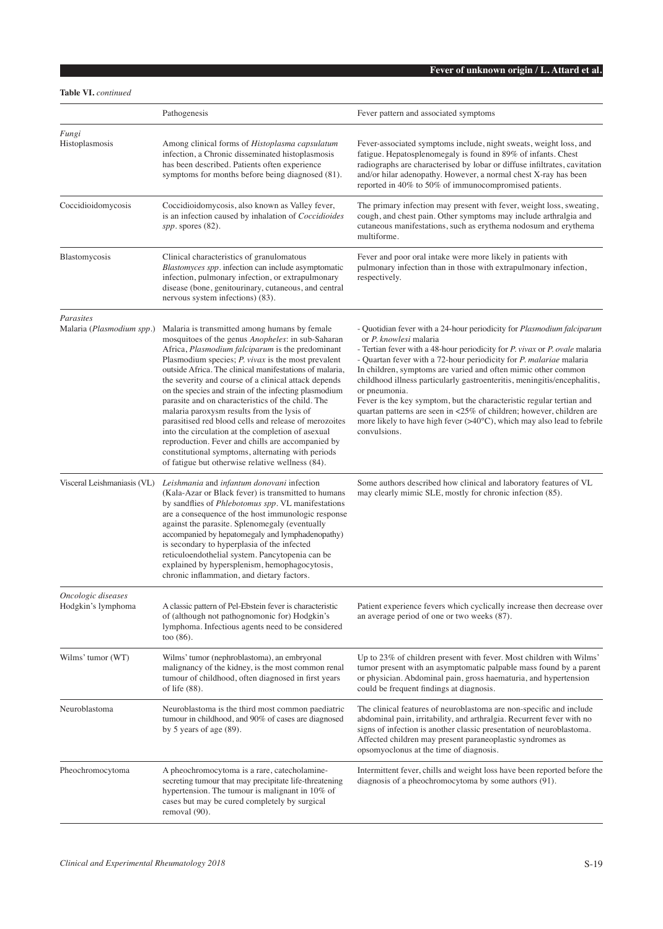**Table VI.** *continued*

|                                          | Pathogenesis                                                                                                                                                                                                                                                                                                                                                                                                                                                                                                                                                                                                                                                                                                                                                              | Fever pattern and associated symptoms                                                                                                                                                                                                                                                                                                                                                                                                                                                                                                                                                                                                                                          |
|------------------------------------------|---------------------------------------------------------------------------------------------------------------------------------------------------------------------------------------------------------------------------------------------------------------------------------------------------------------------------------------------------------------------------------------------------------------------------------------------------------------------------------------------------------------------------------------------------------------------------------------------------------------------------------------------------------------------------------------------------------------------------------------------------------------------------|--------------------------------------------------------------------------------------------------------------------------------------------------------------------------------------------------------------------------------------------------------------------------------------------------------------------------------------------------------------------------------------------------------------------------------------------------------------------------------------------------------------------------------------------------------------------------------------------------------------------------------------------------------------------------------|
| Fungi<br>Histoplasmosis                  | Among clinical forms of <i>Histoplasma capsulatum</i><br>infection, a Chronic disseminated histoplasmosis<br>has been described. Patients often experience<br>symptoms for months before being diagnosed (81).                                                                                                                                                                                                                                                                                                                                                                                                                                                                                                                                                            | Fever-associated symptoms include, night sweats, weight loss, and<br>fatigue. Hepatosplenomegaly is found in 89% of infants. Chest<br>radiographs are characterised by lobar or diffuse infiltrates, cavitation<br>and/or hilar adenopathy. However, a normal chest X-ray has been<br>reported in 40% to 50% of immunocompromised patients.                                                                                                                                                                                                                                                                                                                                    |
| Coccidioidomycosis                       | Coccidioidomycosis, also known as Valley fever,<br>is an infection caused by inhalation of Coccidioides<br>spp. spores $(82)$ .                                                                                                                                                                                                                                                                                                                                                                                                                                                                                                                                                                                                                                           | The primary infection may present with fever, weight loss, sweating,<br>cough, and chest pain. Other symptoms may include arthralgia and<br>cutaneous manifestations, such as erythema nodosum and erythema<br>multiforme.                                                                                                                                                                                                                                                                                                                                                                                                                                                     |
| Blastomycosis                            | Clinical characteristics of granulomatous<br>Blastomyces spp. infection can include asymptomatic<br>infection, pulmonary infection, or extrapulmonary<br>disease (bone, genitourinary, cutaneous, and central<br>nervous system infections) (83).                                                                                                                                                                                                                                                                                                                                                                                                                                                                                                                         | Fever and poor oral intake were more likely in patients with<br>pulmonary infection than in those with extrapulmonary infection,<br>respectively.                                                                                                                                                                                                                                                                                                                                                                                                                                                                                                                              |
| Parasites<br>Malaria (Plasmodium spp.)   | Malaria is transmitted among humans by female<br>mosquitoes of the genus Anopheles: in sub-Saharan<br>Africa, Plasmodium falciparum is the predominant<br>Plasmodium species; $P.$ vivax is the most prevalent<br>outside Africa. The clinical manifestations of malaria,<br>the severity and course of a clinical attack depends<br>on the species and strain of the infecting plasmodium<br>parasite and on characteristics of the child. The<br>malaria paroxysm results from the lysis of<br>parasitised red blood cells and release of merozoites<br>into the circulation at the completion of asexual<br>reproduction. Fever and chills are accompanied by<br>constitutional symptoms, alternating with periods<br>of fatigue but otherwise relative wellness (84). | - Quotidian fever with a 24-hour periodicity for <i>Plasmodium falciparum</i><br>or P. knowlesi malaria<br>- Tertian fever with a 48-hour periodicity for P. vivax or P. ovale malaria<br>- Quartan fever with a 72-hour periodicity for P. malariae malaria<br>In children, symptoms are varied and often mimic other common<br>childhood illness particularly gastroenteritis, meningitis/encephalitis,<br>or pneumonia.<br>Fever is the key symptom, but the characteristic regular tertian and<br>quartan patterns are seen in <25% of children; however, children are<br>more likely to have high fever $(>40^{\circ}C)$ , which may also lead to febrile<br>convulsions. |
| Visceral Leishmaniasis (VL)              | Leishmania and infantum donovani infection<br>(Kala-Azar or Black fever) is transmitted to humans<br>by sandflies of Phlebotomus spp. VL manifestations<br>are a consequence of the host immunologic response<br>against the parasite. Splenomegaly (eventually<br>accompanied by hepatomegaly and lymphadenopathy)<br>is secondary to hyperplasia of the infected<br>reticuloendothelial system. Pancytopenia can be<br>explained by hypersplenism, hemophagocytosis,<br>chronic inflammation, and dietary factors.                                                                                                                                                                                                                                                      | Some authors described how clinical and laboratory features of VL<br>may clearly mimic SLE, mostly for chronic infection (85).                                                                                                                                                                                                                                                                                                                                                                                                                                                                                                                                                 |
| Oncologic diseases<br>Hodgkin's lymphoma | A classic pattern of Pel-Ebstein fever is characteristic<br>of (although not pathognomonic for) Hodgkin's<br>lymphoma. Infectious agents need to be considered<br>too $(86)$ .                                                                                                                                                                                                                                                                                                                                                                                                                                                                                                                                                                                            | Patient experience fevers which cyclically increase then decrease over<br>an average period of one or two weeks (87).                                                                                                                                                                                                                                                                                                                                                                                                                                                                                                                                                          |
| Wilms' tumor (WT)                        | Wilms' tumor (nephroblastoma), an embryonal<br>malignancy of the kidney, is the most common renal<br>tumour of childhood, often diagnosed in first years<br>of life $(88)$ .                                                                                                                                                                                                                                                                                                                                                                                                                                                                                                                                                                                              | Up to 23% of children present with fever. Most children with Wilms'<br>tumor present with an asymptomatic palpable mass found by a parent<br>or physician. Abdominal pain, gross haematuria, and hypertension<br>could be frequent findings at diagnosis.                                                                                                                                                                                                                                                                                                                                                                                                                      |
| Neuroblastoma                            | Neuroblastoma is the third most common paediatric<br>tumour in childhood, and 90% of cases are diagnosed<br>by 5 years of age $(89)$ .                                                                                                                                                                                                                                                                                                                                                                                                                                                                                                                                                                                                                                    | The clinical features of neuroblastoma are non-specific and include<br>abdominal pain, irritability, and arthralgia. Recurrent fever with no<br>signs of infection is another classic presentation of neuroblastoma.<br>Affected children may present paraneoplastic syndromes as<br>opsomyoclonus at the time of diagnosis.                                                                                                                                                                                                                                                                                                                                                   |
| Pheochromocytoma                         | A pheochromocytoma is a rare, catecholamine-<br>secreting tumour that may precipitate life-threatening<br>hypertension. The tumour is malignant in 10% of<br>cases but may be cured completely by surgical<br>removal (90).                                                                                                                                                                                                                                                                                                                                                                                                                                                                                                                                               | Intermittent fever, chills and weight loss have been reported before the<br>diagnosis of a pheochromocytoma by some authors (91).                                                                                                                                                                                                                                                                                                                                                                                                                                                                                                                                              |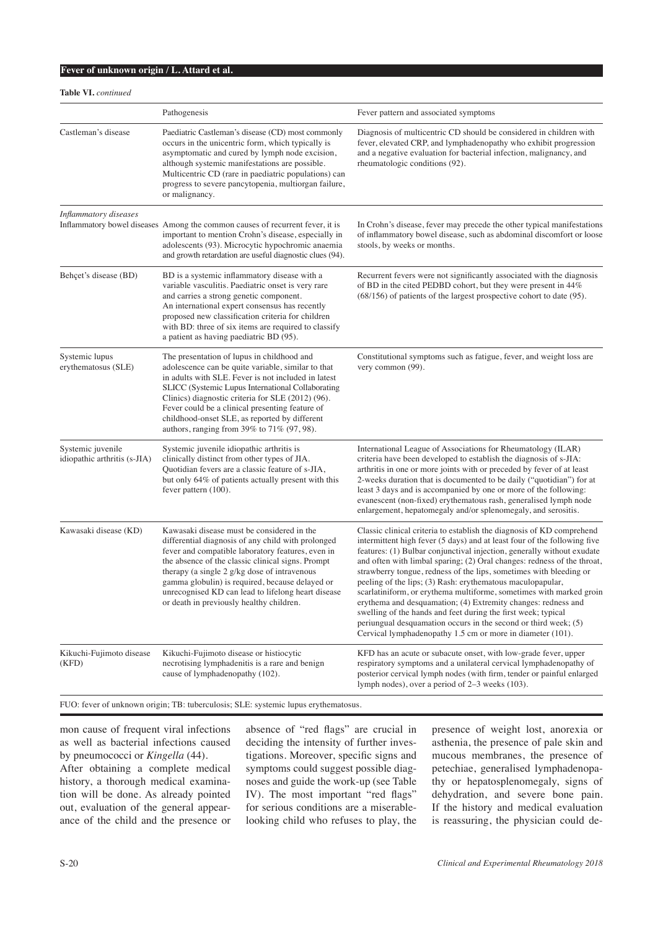**Table VI.** *continued*

|                                                   | Pathogenesis                                                                                                                                                                                                                                                                                                                                                                                                              | Fever pattern and associated symptoms                                                                                                                                                                                                                                                                                                                                                                                                                                                                                                                                                                                                                                                                                                                                                |
|---------------------------------------------------|---------------------------------------------------------------------------------------------------------------------------------------------------------------------------------------------------------------------------------------------------------------------------------------------------------------------------------------------------------------------------------------------------------------------------|--------------------------------------------------------------------------------------------------------------------------------------------------------------------------------------------------------------------------------------------------------------------------------------------------------------------------------------------------------------------------------------------------------------------------------------------------------------------------------------------------------------------------------------------------------------------------------------------------------------------------------------------------------------------------------------------------------------------------------------------------------------------------------------|
| Castleman's disease                               | Paediatric Castleman's disease (CD) most commonly<br>occurs in the unicentric form, which typically is<br>asymptomatic and cured by lymph node excision,<br>although systemic manifestations are possible.<br>Multicentric CD (rare in paediatric populations) can<br>progress to severe pancytopenia, multiorgan failure,<br>or malignancy.                                                                              | Diagnosis of multicentric CD should be considered in children with<br>fever, elevated CRP, and lymphadenopathy who exhibit progression<br>and a negative evaluation for bacterial infection, malignancy, and<br>rheumatologic conditions (92).                                                                                                                                                                                                                                                                                                                                                                                                                                                                                                                                       |
| Inflammatory diseases                             | Inflammatory bowel diseases Among the common causes of recurrent fever, it is<br>important to mention Crohn's disease, especially in<br>adolescents (93). Microcytic hypochromic anaemia<br>and growth retardation are useful diagnostic clues (94).                                                                                                                                                                      | In Crohn's disease, fever may precede the other typical manifestations<br>of inflammatory bowel disease, such as abdominal discomfort or loose<br>stools, by weeks or months.                                                                                                                                                                                                                                                                                                                                                                                                                                                                                                                                                                                                        |
| Behçet's disease (BD)                             | BD is a systemic inflammatory disease with a<br>variable vasculitis. Paediatric onset is very rare<br>and carries a strong genetic component.<br>An international expert consensus has recently<br>proposed new classification criteria for children<br>with BD: three of six items are required to classify<br>a patient as having paediatric BD (95).                                                                   | Recurrent fevers were not significantly associated with the diagnosis<br>of BD in the cited PEDBD cohort, but they were present in 44%<br>$(68/156)$ of patients of the largest prospective cohort to date $(95)$ .                                                                                                                                                                                                                                                                                                                                                                                                                                                                                                                                                                  |
| Systemic lupus<br>erythematosus (SLE)             | The presentation of lupus in childhood and<br>adolescence can be quite variable, similar to that<br>in adults with SLE. Fever is not included in latest<br>SLICC (Systemic Lupus International Collaborating<br>Clinics) diagnostic criteria for SLE (2012) (96).<br>Fever could be a clinical presenting feature of<br>childhood-onset SLE, as reported by different<br>authors, ranging from $39\%$ to $71\%$ (97, 98). | Constitutional symptoms such as fatigue, fever, and weight loss are<br>very common (99).                                                                                                                                                                                                                                                                                                                                                                                                                                                                                                                                                                                                                                                                                             |
| Systemic juvenile<br>idiopathic arthritis (s-JIA) | Systemic juvenile idiopathic arthritis is<br>clinically distinct from other types of JIA.<br>Quotidian fevers are a classic feature of s-JIA,<br>but only 64% of patients actually present with this<br>fever pattern (100).                                                                                                                                                                                              | International League of Associations for Rheumatology (ILAR)<br>criteria have been developed to establish the diagnosis of s-JIA:<br>arthritis in one or more joints with or preceded by fever of at least<br>2-weeks duration that is documented to be daily ("quotidian") for at<br>least 3 days and is accompanied by one or more of the following:<br>evanescent (non-fixed) erythematous rash, generalised lymph node<br>enlargement, hepatomegaly and/or splenomegaly, and serositis.                                                                                                                                                                                                                                                                                          |
| Kawasaki disease (KD)                             | Kawasaki disease must be considered in the<br>differential diagnosis of any child with prolonged<br>fever and compatible laboratory features, even in<br>the absence of the classic clinical signs. Prompt<br>therapy (a single 2 g/kg dose of intravenous<br>gamma globulin) is required, because delayed or<br>unrecognised KD can lead to lifelong heart disease<br>or death in previously healthy children.           | Classic clinical criteria to establish the diagnosis of KD comprehend<br>intermittent high fever (5 days) and at least four of the following five<br>features: (1) Bulbar conjunctival injection, generally without exudate<br>and often with limbal sparing; (2) Oral changes: redness of the throat,<br>strawberry tongue, redness of the lips, sometimes with bleeding or<br>peeling of the lips; (3) Rash: erythematous maculopapular,<br>scarlatiniform, or erythema multiforme, sometimes with marked groin<br>erythema and desquamation; (4) Extremity changes: redness and<br>swelling of the hands and feet during the first week; typical<br>periungual desquamation occurs in the second or third week; (5)<br>Cervical lymphadenopathy 1.5 cm or more in diameter (101). |
| Kikuchi-Fujimoto disease<br>(KFD)                 | Kikuchi-Fujimoto disease or histiocytic<br>necrotising lymphadenitis is a rare and benign<br>cause of lymphadenopathy (102).                                                                                                                                                                                                                                                                                              | KFD has an acute or subacute onset, with low-grade fever, upper<br>respiratory symptoms and a unilateral cervical lymphadenopathy of<br>posterior cervical lymph nodes (with firm, tender or painful enlarged<br>lymph nodes), over a period of 2–3 weeks (103).                                                                                                                                                                                                                                                                                                                                                                                                                                                                                                                     |

FUO: fever of unknown origin; TB: tuberculosis; SLE: systemic lupus erythematosus.

mon cause of frequent viral infections as well as bacterial infections caused by pneumococci or *Kingella* (44). After obtaining a complete medical history, a thorough medical examination will be done. As already pointed out, evaluation of the general appear-

ance of the child and the presence or

absence of "red flags" are crucial in deciding the intensity of further investigations. Moreover, specific signs and symptoms could suggest possible diagnoses and guide the work-up (see Table IV). The most important "red flags" for serious conditions are a miserablelooking child who refuses to play, the

presence of weight lost, anorexia or asthenia, the presence of pale skin and mucous membranes, the presence of petechiae, generalised lymphadenopathy or hepatosplenomegaly, signs of dehydration, and severe bone pain. If the history and medical evaluation is reassuring, the physician could de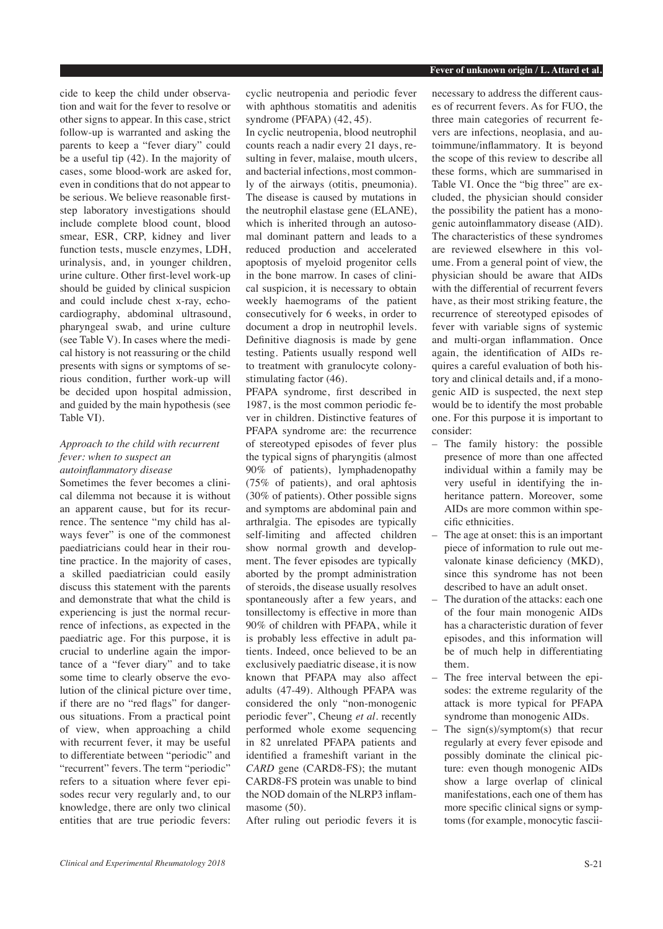cide to keep the child under observation and wait for the fever to resolve or other signs to appear. In this case, strict follow-up is warranted and asking the parents to keep a "fever diary" could be a useful tip (42). In the majority of cases, some blood-work are asked for, even in conditions that do not appear to be serious. We believe reasonable firststep laboratory investigations should include complete blood count, blood smear, ESR, CRP, kidney and liver function tests, muscle enzymes, LDH, urinalysis, and, in younger children, urine culture. Other first-level work-up should be guided by clinical suspicion and could include chest x-ray, echocardiography, abdominal ultrasound, pharyngeal swab, and urine culture (see Table V). In cases where the medical history is not reassuring or the child presents with signs or symptoms of serious condition, further work-up will be decided upon hospital admission, and guided by the main hypothesis (see Table VI).

# *Approach to the child with recurrent fever: when to suspect an autoinflammatory disease*

Sometimes the fever becomes a clinical dilemma not because it is without an apparent cause, but for its recurrence. The sentence "my child has always fever" is one of the commonest paediatricians could hear in their routine practice. In the majority of cases, a skilled paediatrician could easily discuss this statement with the parents and demonstrate that what the child is experiencing is just the normal recurrence of infections, as expected in the paediatric age. For this purpose, it is crucial to underline again the importance of a "fever diary" and to take some time to clearly observe the evolution of the clinical picture over time, if there are no "red flags" for dangerous situations. From a practical point of view, when approaching a child with recurrent fever, it may be useful to differentiate between "periodic" and "recurrent" fevers. The term "periodic" refers to a situation where fever episodes recur very regularly and, to our knowledge, there are only two clinical entities that are true periodic fevers:

cyclic neutropenia and periodic fever with aphthous stomatitis and adenitis syndrome (PFAPA) (42, 45).

In cyclic neutropenia, blood neutrophil counts reach a nadir every 21 days, resulting in fever, malaise, mouth ulcers, and bacterial infections, most commonly of the airways (otitis, pneumonia). The disease is caused by mutations in the neutrophil elastase gene (ELANE), which is inherited through an autosomal dominant pattern and leads to a reduced production and accelerated apoptosis of myeloid progenitor cells in the bone marrow. In cases of clinical suspicion, it is necessary to obtain weekly haemograms of the patient consecutively for 6 weeks, in order to document a drop in neutrophil levels. Definitive diagnosis is made by gene testing. Patients usually respond well to treatment with granulocyte colonystimulating factor (46).

PFAPA syndrome, first described in 1987, is the most common periodic fever in children. Distinctive features of PFAPA syndrome are: the recurrence of stereotyped episodes of fever plus the typical signs of pharyngitis (almost 90% of patients), lymphadenopathy (75% of patients), and oral aphtosis (30% of patients). Other possible signs and symptoms are abdominal pain and arthralgia. The episodes are typically self-limiting and affected children show normal growth and development. The fever episodes are typically aborted by the prompt administration of steroids, the disease usually resolves spontaneously after a few years, and tonsillectomy is effective in more than 90% of children with PFAPA, while it is probably less effective in adult patients. Indeed, once believed to be an exclusively paediatric disease, it is now known that PFAPA may also affect adults (47-49). Although PFAPA was considered the only "non-monogenic periodic fever", Cheung *et al.* recently performed whole exome sequencing in 82 unrelated PFAPA patients and identified a frameshift variant in the *CARD* gene (CARD8-FS); the mutant CARD8-FS protein was unable to bind the NOD domain of the NLRP3 inflammasome (50).

After ruling out periodic fevers it is

necessary to address the different causes of recurrent fevers. As for FUO, the three main categories of recurrent fevers are infections, neoplasia, and autoimmune/inflammatory. It is beyond the scope of this review to describe all these forms, which are summarised in Table VI. Once the "big three" are excluded, the physician should consider the possibility the patient has a monogenic autoinflammatory disease (AID). The characteristics of these syndromes are reviewed elsewhere in this volume. From a general point of view, the physician should be aware that AIDs with the differential of recurrent fevers have, as their most striking feature, the recurrence of stereotyped episodes of fever with variable signs of systemic and multi-organ inflammation. Once again, the identification of AIDs requires a careful evaluation of both history and clinical details and, if a monogenic AID is suspected, the next step would be to identify the most probable one. For this purpose it is important to consider:

- The family history: the possible presence of more than one affected individual within a family may be very useful in identifying the inheritance pattern. Moreover, some AIDs are more common within specific ethnicities.
- The age at onset: this is an important piece of information to rule out mevalonate kinase deficiency (MKD), since this syndrome has not been described to have an adult onset.
- The duration of the attacks: each one of the four main monogenic AIDs has a characteristic duration of fever episodes, and this information will be of much help in differentiating them.
- The free interval between the episodes: the extreme regularity of the attack is more typical for PFAPA syndrome than monogenic AIDs.
- The  $sign(s)/symptom(s)$  that recur regularly at every fever episode and possibly dominate the clinical picture: even though monogenic AIDs show a large overlap of clinical manifestations, each one of them has more specific clinical signs or symptoms (for example, monocytic fascii-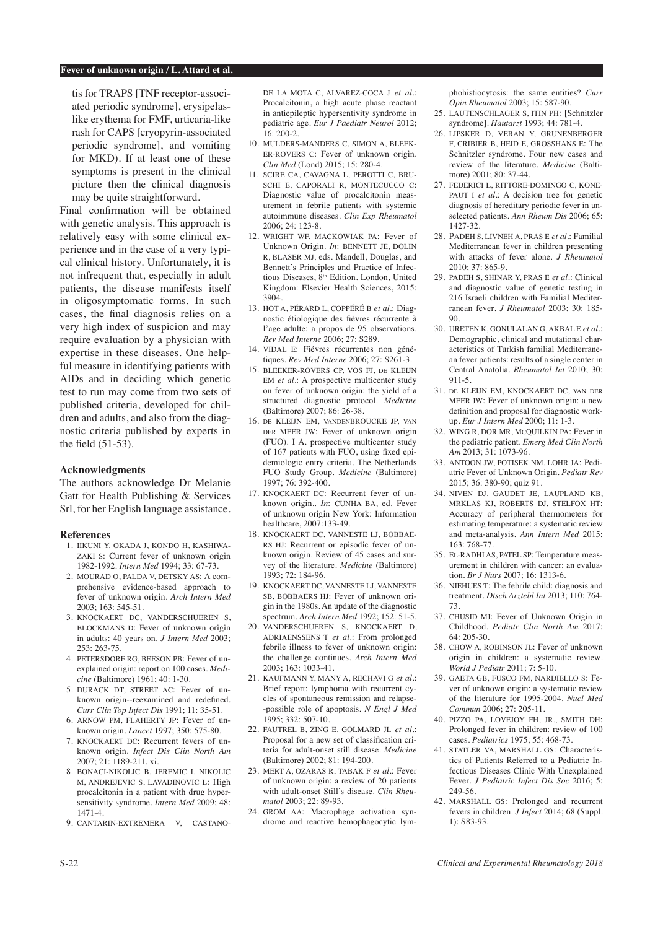tis for TRAPS [TNF receptor-associated periodic syndrome], erysipelaslike erythema for FMF, urticaria-like rash for CAPS [cryopyrin-associated periodic syndrome], and vomiting for MKD). If at least one of these symptoms is present in the clinical picture then the clinical diagnosis may be quite straightforward.

Final confirmation will be obtained with genetic analysis. This approach is relatively easy with some clinical experience and in the case of a very typical clinical history. Unfortunately, it is not infrequent that, especially in adult patients, the disease manifests itself in oligosymptomatic forms. In such cases, the final diagnosis relies on a very high index of suspicion and may require evaluation by a physician with expertise in these diseases. One helpful measure in identifying patients with AIDs and in deciding which genetic test to run may come from two sets of published criteria, developed for children and adults, and also from the diagnostic criteria published by experts in the field (51-53).

## **Acknowledgments**

The authors acknowledge Dr Melanie Gatt for Health Publishing & Services Srl, for her English language assistance.

#### **References**

- 1. IIKUNI Y, OKADA J, KONDO H, KASHIWA-ZAKI S: Current fever of unknown origin 1982-1992*. Intern Med* 1994; 33: 67-73.
- 2. MOURAD O, PALDA V, DETSKY AS: A comprehensive evidence-based approach to fever of unknown origin*. Arch Intern Med*  2003; 163: 545-51.
- 3. KNOCKAERT DC, VANDERSCHUEREN S BLOCKMANS D: Fever of unknown origin in adults: 40 years on*. J Intern Med* 2003; 253: 263-75.
- 4. PETERSDORF RG, BEESON PB: Fever of unexplained origin: report on 100 cases*. Medicine* (Baltimore) 1961; 40: 1-30.
- 5. DURACK DT, STREET AC: Fever of unknown origin--reexamined and redefined*. Curr Clin Top Infect Dis* 1991; 11: 35-51.
- 6. ARNOW PM, FLAHERTY JP: Fever of unknown origin*. Lancet* 1997; 350: 575-80.
- 7. KNOCKAERT DC: Recurrent fevers of unknown origin*. Infect Dis Clin North Am*  2007; 21: 1189-211, xi.
- 8. BONACI-NIKOLIC B, JEREMIC I, NIKOLIC M, ANDREJEVIC S, LAVADINOVIC L: High procalcitonin in a patient with drug hypersensitivity syndrome*. Intern Med* 2009; 48: 1471-4.
- 9. CANTARIN-EXTREMERA V, CASTANO-

DE LA MOTA C, ALVAREZ-COCA J *et al.*: Procalcitonin, a high acute phase reactant in antiepileptic hypersentivity syndrome in pediatric age*. Eur J Paediatr Neurol* 2012;  $16: 200-2.$ 

- 10. MULDERS-MANDERS C, SIMON A, BLEEK-ER-ROVERS C: Fever of unknown origin*. Clin Med* (Lond) 2015; 15: 280-4.
- 11. SCIRE CA, CAVAGNA L, PEROTTI C, BRU-SCHI E, CAPORALI R, MONTECUCCO C: Diagnostic value of procalcitonin measurement in febrile patients with systemic autoimmune diseases*. Clin Exp Rheumatol*   $2006: 24: 123-8.$
- 12. WRIGHT WF, MACKOWIAK PA: Fever of Unknown Origin. *In*: BENNETT JE, DOLIN R, BLASER MJ, eds. Mandell, Douglas, and Bennett's Principles and Practice of Infectious Diseases, 8th Edition. London, United Kingdom: Elsevier Health Sciences, 2015: 3904.
- 13. HOT A, PÉRARD L, COPPÉRÉ B *et al.*: Diagnostic étiologique des fiévres récurrente à l'age adulte: a propos de 95 observations. *Rev Med Interne* 2006; 27: S289.
- 14. VIDAL E: Fiévres récurrentes non génétiques. *Rev Med Interne* 2006; 27: S261-3.
- 15. BLEEKER-ROVERS CP, VOS FJ, de KLEIJN EM *et al.*: A prospective multicenter study on fever of unknown origin: the yield of a structured diagnostic protocol*. Medicine* (Baltimore) 2007; 86: 26-38.
- 16. de KLEIJN EM, vandenBROUCKE JP, van DER MEER JW: Fever of unknown origin (FUO). I A. prospective multicenter study of 167 patients with FUO, using fixed epidemiologic entry criteria. The Netherlands FUO Study Group*. Medicine* (Baltimore) 1997; 76: 392-400.
- 17. KNOCKAERT DC: Recurrent fever of unknown origin,. *In*: CUNHA BA, ed. Fever of unknown origin New York: Information healthcare, 2007:133-49.
- 18. KNOCKAERT DC, VANNESTE LJ, BOBBAE-RS HJ: Recurrent or episodic fever of unknown origin. Review of 45 cases and survey of the literature*. Medicine* (Baltimore) 1993; 72: 184-96.
- 19. KNOCKAERT DC, VANNESTE LJ, VANNESTE SB, BOBBAERS HJ: Fever of unknown origin in the 1980s. An update of the diagnostic spectrum*. Arch Intern Med* 1992; 152: 51-5.
- 20. VANDERSCHUEREN S, KNOCKAERT D, ADRIAENSSENS T *et al.*: From prolonged febrile illness to fever of unknown origin: the challenge continues*. Arch Intern Med*  2003; 163: 1033-41.
- 21. KAUFMANN Y, MANY A, RECHAVI G *et al.*: Brief report: lymphoma with recurrent cycles of spontaneous remission and relapse- -possible role of apoptosis*. N Engl J Med*  1995; 332: 507-10.
- 22. FAUTREL B, ZING E, GOLMARD JL *et al.*: Proposal for a new set of classification criteria for adult-onset still disease*. Medicine*  (Baltimore) 2002; 81: 194-200.
- 23. MERT A, OZARAS R, TABAK F *et al.*: Fever of unknown origin: a review of 20 patients with adult-onset Still's disease*. Clin Rheumatol* 2003; 22: 89-93.
- 24. GROM AA: Macrophage activation syndrome and reactive hemophagocytic lym-

phohistiocytosis: the same entities? *Curr Opin Rheumatol* 2003; 15: 587-90.

- 25. LAUTENSCHLAGER S, ITIN PH: [Schnitzler syndrome]*. Hautarzt* 1993; 44: 781-4.
- 26. LIPSKER D, VERAN Y, GRUNENBERGER F, CRIBIER B, HEID E, GROSSHANS E: The Schnitzler syndrome. Four new cases and review of the literature*. Medicine* (Baltimore) 2001; 80: 37-44.
- 27. FEDERICI L, RITTORE-DOMINGO C, KONE-PAUT I *et al.*: A decision tree for genetic diagnosis of hereditary periodic fever in unselected patients*. Ann Rheum Dis* 2006; 65: 1427-32.
- 28. PADEH S, LIVNEH A, PRAS E *et al.*: Familial Mediterranean fever in children presenting with attacks of fever alone*. J Rheumatol*  2010; 37: 865-9.
- 29. PADEH S, SHINAR Y, PRAS E *et al.*: Clinical and diagnostic value of genetic testing in 216 Israeli children with Familial Mediterranean fever*. J Rheumatol* 2003; 30: 185- 90.
- 30. URETEN K, GONULALAN G, AKBAL E *et al.*: Demographic, clinical and mutational characteristics of Turkish familial Mediterranean fever patients: results of a single center in Central Anatolia*. Rheumatol Int* 2010; 30: 911-5.
- 31. de KLEIJN EM, KNOCKAERT DC, van der MEER JW: Fever of unknown origin: a new definition and proposal for diagnostic workup*. Eur J Intern Med* 2000; 11: 1-3.
- 32. WING R, DOR MR, McQUILKIN PA: Fever in the pediatric patient*. Emerg Med Clin North Am* 2013; 31: 1073-96.
- 33. ANTOON IW, POTISEK NM, LOHR JA: Pediatric Fever of Unknown Origin*. Pediatr Rev*  2015; 36: 380-90; quiz 91.
- 34. NIVEN DJ, GAUDET JE, LAUPLAND KB, MRKLAS KJ, ROBERTS DJ, STELFOX HT: Accuracy of peripheral thermometers for estimating temperature: a systematic review and meta-analysis*. Ann Intern Med* 2015; 163: 768-77.
- 35. El-RADHI AS, PATEL SP: Temperature measurement in children with cancer: an evaluation*. Br J Nurs* 2007; 16: 1313-6.
- 36. NIEHUES T: The febrile child: diagnosis and treatment*. Dtsch Arztebl Int* 2013; 110: 764- 73.
- 37. CHUSID MJ: Fever of Unknown Origin in Childhood*. Pediatr Clin North Am* 2017;  $64.205 - 30$
- 38. CHOW A, ROBINSON JL: Fever of unknown origin in children: a systematic review*. World J Pediatr* 2011; 7: 5-10.
- 39. GAETA GB, FUSCO FM, NARDIELLO S: Fever of unknown origin: a systematic review of the literature for 1995-2004*. Nucl Med Commun* 2006; 27: 205-11.
- 40. PIZZO PA, LOVEJOY FH, JR., SMITH DH: Prolonged fever in children: review of 100 cases*. Pediatrics* 1975; 55: 468-73.
- 41. STATLER VA, MARSHALL GS: Characteristics of Patients Referred to a Pediatric Infectious Diseases Clinic With Unexplained Fever*. J Pediatric Infect Dis Soc* 2016; 5: 249-56.
- 42. MARSHALL GS: Prolonged and recurrent fevers in children*. J Infect* 2014; 68 (Suppl. 1): S83-93.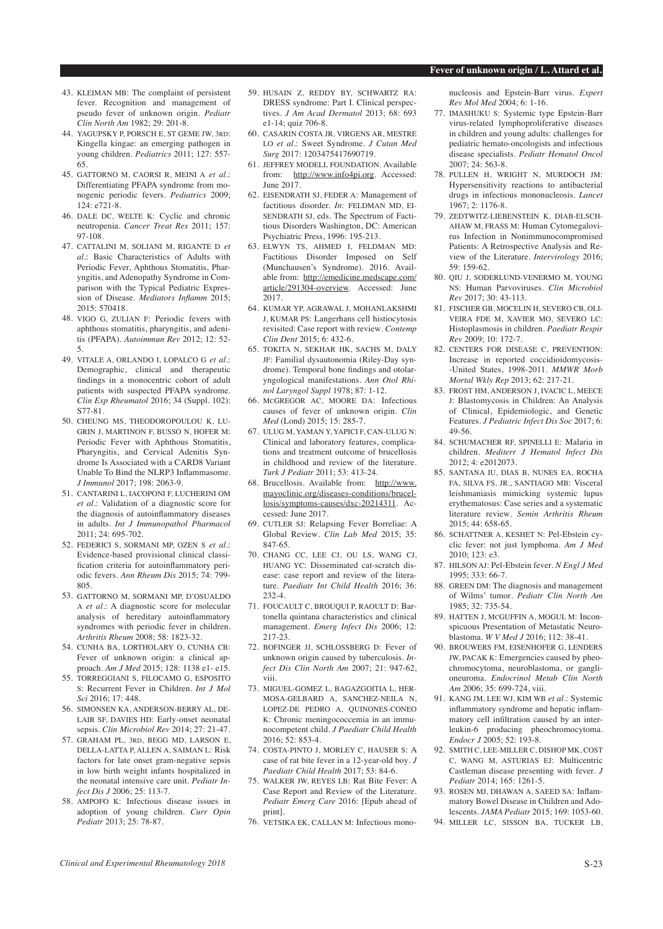- 43. KLEIMAN MB: The complaint of persistent fever. Recognition and management of pseudo fever of unknown origin*. Pediatr Clin North Am* 1982; 29: 201-8.
- 44. YAGUPSKY P, PORSCH E, ST GEME JW, 3rd: Kingella kingae: an emerging pathogen in young children*. Pediatrics* 2011; 127: 557- 65.
- 45. GATTORNO M, CAORSI R, MEINI A *et al.*: Differentiating PFAPA syndrome from monogenic periodic fevers*. Pediatrics* 2009;  $124 \cdot e721 - 8$
- 46. DALE DC, WELTE K: Cyclic and chronic neutropenia*. Cancer Treat Res* 2011; 157: 97-108.
- 47. CATTALINI M, SOLIANI M, RIGANTE D *et al.*: Basic Characteristics of Adults with Periodic Fever, Aphthous Stomatitis, Pharyngitis, and Adenopathy Syndrome in Comparison with the Typical Pediatric Expression of Disease*. Mediators Inflamm* 2015; 2015: 570418.
- 48. VIGO G, ZULIAN F: Periodic fevers with aphthous stomatitis, pharyngitis, and adenitis (PFAPA)*. Autoimmun Rev* 2012; 12: 52- 5.
- 49. VITALE A, ORLANDO I, LOPALCO G *et al.*: Demographic, clinical and therapeutic findings in a monocentric cohort of adult patients with suspected PFAPA syndrome*. Clin Exp Rheumatol* 2016; 34 (Suppl. 102): S77-81.
- 50. CHEUNG MS, THEODOROPOULOU K, LU-GRIN I, MARTINON F, BUSSO N, HOFER M: Periodic Fever with Aphthous Stomatitis, Pharyngitis, and Cervical Adenitis Syndrome Is Associated with a CARD8 Variant Unable To Bind the NLRP3 Inflammasome*. J Immunol* 2017; 198: 2063-9.
- 51. CANTARINI L, IACOPONI F, LUCHERINI OM *et al.*: Validation of a diagnostic score for the diagnosis of autoinflammatory diseases in adults*. Int J Immunopathol Pharmacol*  2011; 24: 695-702.
- 52. FEDERICI S, SORMANI MP, OZEN S *et al.*: Evidence-based provisional clinical classification criteria for autoinflammatory periodic fevers*. Ann Rheum Dis* 2015; 74: 799- 805.
- 53. GATTORNO M, SORMANI MP, D'OSUALDO A *et al.*: A diagnostic score for molecular analysis of hereditary autoinflammatory syndromes with periodic fever in children*. Arthritis Rheum* 2008; 58: 1823-32.
- 54. CUNHA BA, LORTHOLARY O, CUNHA CB: Fever of unknown origin: a clinical approach*. Am J Med* 2015; 128: 1138 e1- e15.
- 55. TORREGGIANI S, FILOCAMO G, ESPOSITO S: Recurrent Fever in Children*. Int J Mol Sci* 2016; 17: 448.
- 56. SIMONSEN KA, ANDERSON-BERRY AL, DE-LAIR SF, DAVIES HD: Early-onset neonatal sepsis*. Clin Microbiol Rev* 2014; 27: 21-47.
- 57. GRAHAM PL, 3rd, BEGG MD, LARSON E, DELLA-LATTA P, ALLEN A, SAIMAN L: Risk factors for late onset gram-negative sepsis in low birth weight infants hospitalized in the neonatal intensive care unit*. Pediatr Infect Dis J* 2006; 25: 113-7.
- 58. AMPOFO K: Infectious disease issues in adoption of young children*. Curr Opin Pediatr* 2013; 25: 78-87.
- 59. HUSAIN Z, REDDY BY, SCHWARTZ RA: DRESS syndrome: Part I. Clinical perspectives*. J Am Acad Dermatol* 2013; 68: 693 e1-14; quiz 706-8.
- 60. CASARIN COSTA JR, VIRGENS AR, MESTRE LO *et al.*: Sweet Syndrome*. J Cutan Med Surg* 2017: 1203475417690719.
- 61. JEFFREY MODELL FOUNDATION. Available from: http://www.info4pi.org. Accessed: June 2017.
- 62. EISENDRATH SJ, FEDER A: Management of factitious disorder. *In*: FELDMAN MD, EI-SENDRATH SJ, eds. The Spectrum of Factitious Disorders Washington, DC: American Psychiatric Press, 1996: 195-213.
- 63. ELWYN TS, AHMED I, FELDMAN MD: Factitious Disorder Imposed on Self (Munchausen's Syndrome). 2016. Available from: http://emedicine.medscape.com/ article/291304-overview. Accessed: June 2017.
- 64. KUMAR YP, AGRAWAL J, MOHANLAKSHMI J, KUMAR PS: Langerhans cell histiocytosis revisited: Case report with review*. Contemp Clin Dent* 2015; 6: 432-6.
- 65. TOKITA N, SEKHAR HK, SACHS M, DALY JF: Familial dysautonomia (Riley-Day syndrome). Temporal bone findings and otolaryngological manifestations*. Ann Otol Rhinol Laryngol Suppl* 1978; 87: 1-12.
- 66. McGREGOR AC, MOORE DA: Infectious causes of fever of unknown origin*. Clin Med* (Lond) 2015; 15: 285-7.
- 67. ULUG M, YAMAN Y, YAPICI F, CAN-ULUG N: Clinical and laboratory features, complications and treatment outcome of brucellosis in childhood and review of the literature*. Turk J Pediatr* 2011; 53: 413-24.
- 68. Brucellosis. Available from: http://www. mayoclinic.org/diseases-conditions/brucellosis/symptoms-causes/dxc-20214311. Accessed: June 2017.
- 69. CUTLER SJ: Relapsing Fever Borreliae: A Global Review*. Clin Lab Med* 2015; 35: 847-65.
- 70. CHANG CC, LEE CJ, OU LS, WANG CJ, HUANG YC: Disseminated cat-scratch disease: case report and review of the literature*. Paediatr Int Child Health* 2016; 36: 232-4.
- 71. FOUCAULT C, BROUQUI P, RAOULT D: Bartonella quintana characteristics and clinical management*. Emerg Infect Dis* 2006; 12: 217-23.
- 72. BOFINGER JJ, SCHLOSSBERG D: Fever of unknown origin caused by tuberculosis*. Infect Dis Clin North Am* 2007; 21: 947-62, viii.
- 73. MIGUEL-GOMEZ L, BAGAZGOITIA L, HER-MOSA-GELBARD A, SANCHEZ-NEILA N, LOPEZ-DE PEDRO A, QUINONES-CONEO K: Chronic meningococcemia in an immunocompetent child*. J Paediatr Child Health*  2016; 52: 853-4.
- 74. COSTA-PINTO J, MORLEY C, HAUSER S: A case of rat bite fever in a 12-year-old boy*. J Paediatr Child Health* 2017; 53: 84-6.
- 75. WALKER JW, REYES LB: Rat Bite Fever: A Case Report and Review of the Literature*. Pediatr Emerg Care* 2016: [Epub ahead of print].
- 76. VETSIKA EK, CALLAN M: Infectious mono-

nucleosis and Epstein-Barr virus*. Expert Rev Mol Med* 2004; 6: 1-16.

- 77. IMASHUKU S: Systemic type Epstein-Barr virus-related lymphoproliferative diseases in children and young adults: challenges for pediatric hemato-oncologists and infectious disease specialists*. Pediatr Hematol Oncol*  2007; 24: 563-8.
- 78. PULLEN H, WRIGHT N, MURDOCH JM: Hypersensitivity reactions to antibacterial drugs in infectious mononucleosis*. Lancet*   $1967 \cdot 2 \cdot 1176 - 8$
- 79. ZEDTWITZ-LIEBENSTEIN K, DIAB-ELSCH-AHAW M, FRASS M: Human Cytomegalovirus Infection in Nonimmunocompromised Patients: A Retrospective Analysis and Review of the Literature*. Intervirology* 2016; 59: 159-62.
- 80. QIU J, SODERLUND-VENERMO M, YOUNG NS: Human Parvoviruses*. Clin Microbiol Rev* 2017; 30: 43-113.
- 81. FISCHER GB, MOCELIN H, SEVERO CB, OLI-VEIRA FDE M, XAVIER MO, SEVERO LC: Histoplasmosis in children*. Paediatr Respir Rev* 2009; 10: 172-7.
- 82. CENTERS FOR DISEASE C, PREVENTION: Increase in reported coccidioidomycosis- -United States, 1998-2011*. MMWR Morb Mortal Wkly Rep* 2013; 62: 217-21.
- 83. FROST HM, ANDERSON J, IVACIC L, MEECE J: Blastomycosis in Children: An Analysis of Clinical, Epidemiologic, and Genetic Features*. J Pediatric Infect Dis Soc* 2017; 6: 49-56.
- 84. SCHUMACHER RF, SPINELLI E: Malaria in children*. Mediterr J Hematol Infect Dis*   $2012:4: e2012073.$
- 85. SANTANA IU, DIAS B, NUNES EA, ROCHA FA, SILVA FS, JR., SANTIAGO MB: Visceral leishmaniasis mimicking systemic lupus erythematosus: Case series and a systematic literature review*. Semin Arthritis Rheum*  2015; 44: 658-65.
- 86. SCHATTNER A, KESHET N: Pel-Ebstein cyclic fever: not just lymphoma*. Am J Med*  2010; 123: e3.
- 87. HILSON AJ: Pel-Ebstein fever*. N Engl J Med*  1995; 333: 66-7.
- 88. GREEN DM: The diagnosis and management of Wilms' tumor*. Pediatr Clin North Am*  1985; 32: 735-54.
- 89. HATTEN J, McGUFFIN A, MOGUL M: Inconspicuous Presentation of Metastatic Neuroblastoma*. W V Med J* 2016; 112: 38-41.
- 90. BROUWERS FM, EISENHOFER G, LENDERS JW, PACAK K: Emergencies caused by pheochromocytoma, neuroblastoma, or ganglioneuroma*. Endocrinol Metab Clin North Am* 2006; 35: 699-724, viii.
- 91. KANG JM, LEE WJ, KIM WB *et al.*: Systemic inflammatory syndrome and hepatic inflammatory cell infiltration caused by an interleukin-6 producing pheochromocytoma*. Endocr J* 2005; 52: 193-8.
- 92. SMITH C, LEE-MILLER C, DISHOP MK, COST C, WANG M, ASTURIAS EJ: Multicentric Castleman disease presenting with fever*. J Pediatr* 2014; 165: 1261-5.
- 93. ROSEN MJ, DHAWAN A, SAEED SA: Inflammatory Bowel Disease in Children and Adolescents*. JAMA Pediatr* 2015; 169: 1053-60.
- 94. MILLER LC, SISSON BA, TUCKER LB,